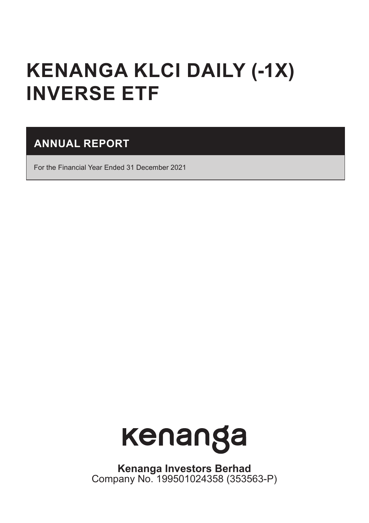# **KENANGA KLCI DAILY (-1X) INVERSE ETF**

# **ANNUAL REPORT**

For the Financial Year Ended 31 December 2021



**Kenanga Investors Berhad** Company No. 199501024358 (353563-P)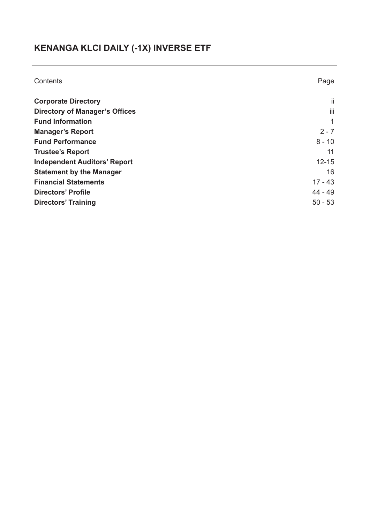# **KENANGA KLCI DAILY (-1X) INVERSE ETF**

| Contents                              | Page      |
|---------------------------------------|-----------|
| <b>Corporate Directory</b>            | ii.       |
| <b>Directory of Manager's Offices</b> | iii       |
| <b>Fund Information</b>               |           |
| <b>Manager's Report</b>               | $2 - 7$   |
| <b>Fund Performance</b>               | $8 - 10$  |
| <b>Trustee's Report</b>               | 11        |
| <b>Independent Auditors' Report</b>   | $12 - 15$ |
| <b>Statement by the Manager</b>       | 16        |
| <b>Financial Statements</b>           | $17 - 43$ |
| <b>Directors' Profile</b>             | $44 - 49$ |
| Directors' Training                   | $50 - 53$ |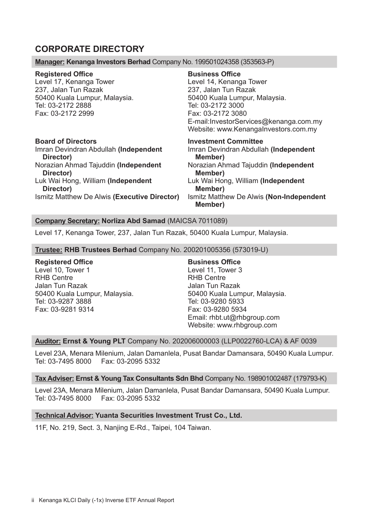# **CORPORATE DIRECTORY**

#### **Manager: Kenanga Investors Berhad** Company No. 199501024358 (353563-P)

## **Registered Office**

Level 17, Kenanga Tower 237, Jalan Tun Razak 50400 Kuala Lumpur, Malaysia. Tel: 03-2172 2888 Fax: 03-2172 2999

#### **Board of Directors**

Imran Devindran Abdullah **(Independent Director)** Norazian Ahmad Tajuddin **(Independent Director)** Luk Wai Hong, William **(Independent Director)** Ismitz Matthew De Alwis **(Executive Director)**

#### **Business Office**

Level 14, Kenanga Tower 237, Jalan Tun Razak 50400 Kuala Lumpur, Malaysia. Tel: 03-2172 3000 Fax: 03-2172 3080 E-mail:InvestorServices@kenanga.com.my Website: www.KenangaInvestors.com.my

**Investment Committee** Imran Devindran Abdullah **(Independent Member)** Norazian Ahmad Tajuddin **(Independent Member)** Luk Wai Hong, William **(Independent Member)** Ismitz Matthew De Alwis **(Non-Independent Member)**

#### **Company Secretary: Norliza Abd Samad** (MAICSA 7011089)

Level 17, Kenanga Tower, 237, Jalan Tun Razak, 50400 Kuala Lumpur, Malaysia.

#### **Trustee: RHB Trustees Berhad** Company No. 200201005356 (573019-U)

#### **Registered Office**

Level 10, Tower 1 RHB Centre Jalan Tun Razak 50400 Kuala Lumpur, Malaysia. Tel: 03-9287 3888 Fax: 03-9281 9314

**Business Office**  Level 11, Tower 3 RHB Centre Jalan Tun Razak 50400 Kuala Lumpur, Malaysia. Tel: 03-9280 5933 Fax: 03-9280 5934 Email: rhbt.ut@rhbgroup.com Website: www.rhbgroup.com

#### **Auditor: Ernst & Young PLT** Company No. 202006000003 (LLP0022760-LCA) & AF 0039

Level 23A, Menara Milenium, Jalan Damanlela, Pusat Bandar Damansara, 50490 Kuala Lumpur. Tel: 03-7495 8000 Fax: 03-2095 5332

#### **Tax Adviser: Ernst & Young Tax Consultants Sdn Bhd** Company No. 198901002487 (179793-K)

Level 23A, Menara Milenium, Jalan Damanlela, Pusat Bandar Damansara, 50490 Kuala Lumpur.<br>Tel: 03-7495 8000 Fax: 03-2095 5332 Fax: 03-2095 5332

#### **Technical Advisor: Yuanta Securities Investment Trust Co., Ltd.**

11F, No. 219, Sect. 3, Nanjing E-Rd., Taipei, 104 Taiwan.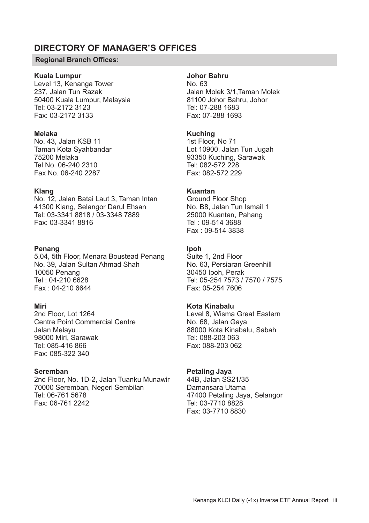# **DIRECTORY OF MANAGER'S OFFICES**

#### **Regional Branch Offices:**

#### **Kuala Lumpur**

Level 13, Kenanga Tower 237, Jalan Tun Razak 50400 Kuala Lumpur, Malaysia Tel: 03-2172 3123 Fax: 03-2172 3133

#### **Melaka**

No. 43, Jalan KSB 11 Taman Kota Syahbandar 75200 Melaka Tel No. 06-240 2310 Fax No. 06-240 2287

#### **Klang**

No. 12, Jalan Batai Laut 3, Taman Intan 41300 Klang, Selangor Darul Ehsan Tel: 03-3341 8818 / 03-3348 7889 Fax: 03-3341 8816

#### **Penang**

5.04, 5th Floor, Menara Boustead Penang No. 39, Jalan Sultan Ahmad Shah 10050 Penang Tel : 04-210 6628 Fax : 04-210 6644

#### **Miri**

2nd Floor, Lot 1264 Centre Point Commercial Centre Jalan Melayu 98000 Miri, Sarawak Tel: 085-416 866 Fax: 085-322 340

#### **Seremban**

2nd Floor, No. 1D-2, Jalan Tuanku Munawir 70000 Seremban, Negeri Sembilan Tel: 06-761 5678 Fax: 06-761 2242

#### **Johor Bahru**

No. 63 Jalan Molek 3/1,Taman Molek 81100 Johor Bahru, Johor Tel: 07-288 1683 Fax: 07-288 1693

#### **Kuching**

1st Floor, No 71 Lot 10900, Jalan Tun Jugah 93350 Kuching, Sarawak Tel: 082-572 228 Fax: 082-572 229

# **Kuantan**

Ground Floor Shop No. B8, Jalan Tun Ismail 1 25000 Kuantan, Pahang Tel : 09-514 3688 Fax : 09-514 3838

#### **Ipoh**

Suite 1, 2nd Floor No. 63, Persiaran Greenhill 30450 Ipoh, Perak Tel: 05-254 7573 / 7570 / 7575 Fax: 05-254 7606

## **Kota Kinabalu**

Level 8, Wisma Great Eastern No. 68, Jalan Gaya 88000 Kota Kinabalu, Sabah Tel: 088-203 063 Fax: 088-203 062

#### **Petaling Jaya**

44B, Jalan SS21/35 Damansara Utama 47400 Petaling Jaya, Selangor Tel: 03-7710 8828 Fax: 03-7710 8830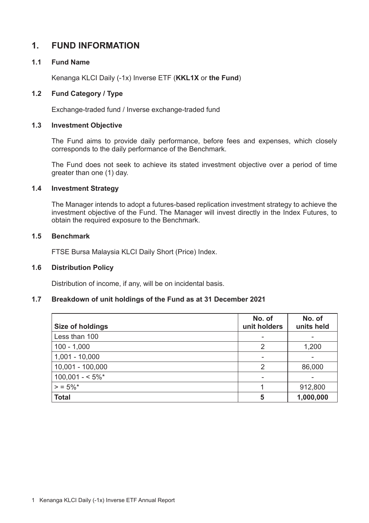# **1. FUND INFORMATION**

# **1.1 Fund Name**

Kenanga KLCI Daily (-1x) Inverse ETF (**KKL1X** or **the Fund**)

# **1.2 Fund Category / Type**

Exchange-traded fund / Inverse exchange-traded fund

#### **1.3 Investment Objective**

The Fund aims to provide daily performance, before fees and expenses, which closely corresponds to the daily performance of the Benchmark.

The Fund does not seek to achieve its stated investment objective over a period of time greater than one (1) day.

#### **1.4 Investment Strategy**

The Manager intends to adopt a futures-based replication investment strategy to achieve the investment objective of the Fund. The Manager will invest directly in the Index Futures, to obtain the required exposure to the Benchmark.

#### **1.5 Benchmark**

FTSE Bursa Malaysia KLCI Daily Short (Price) Index.

#### **1.6 Distribution Policy**

Distribution of income, if any, will be on incidental basis.

# **1.7 Breakdown of unit holdings of the Fund as at 31 December 2021**

| Size of holdings | No. of<br>unit holders | No. of<br>units held |
|------------------|------------------------|----------------------|
| Less than 100    | $\blacksquare$         |                      |
| $ 100 - 1,000$   | 2                      | 1,200                |
| $1,001 - 10,000$ |                        |                      |
| 10,001 - 100,000 | 2                      | 86,000               |
| $100,001 - 5\%$  |                        |                      |
| $\ge$ = 5%*      |                        | 912,800              |
| Total            | 5                      | 1,000,000            |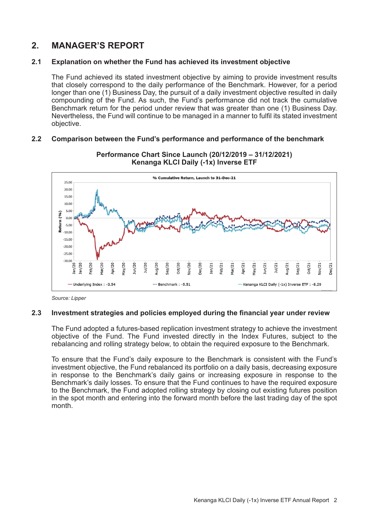# **2. MANAGER'S REPORT**

## **2.1 Explanation on whether the Fund has achieved its investment objective**

The Fund achieved its stated investment objective by aiming to provide investment results that closely correspond to the daily performance of the Benchmark. However, for a period longer than one (1) Business Day, the pursuit of a daily investment objective resulted in daily compounding of the Fund. As such, the Fund's performance did not track the cumulative Benchmark return for the period under review that was greater than one (1) Business Day. Nevertheless, the Fund will continue to be managed in a manner to fulfil its stated investment objective.

#### **2.2 Comparison between the Fund's performance and performance of the benchmark**



**Performance Chart Since Launch (20/12/2019 – 31/12/2021) Kenanga KLCI Daily (-1x) Inverse ETF**

#### **2.3 Investment strategies and policies employed during the financial year under review**

The Fund adopted a futures-based replication investment strategy to achieve the investment objective of the Fund. The Fund invested directly in the Index Futures, subject to the rebalancing and rolling strategy below, to obtain the required exposure to the Benchmark.

To ensure that the Fund's daily exposure to the Benchmark is consistent with the Fund's investment objective, the Fund rebalanced its portfolio on a daily basis, decreasing exposure in response to the Benchmark's daily gains or increasing exposure in response to the Benchmark's daily losses. To ensure that the Fund continues to have the required exposure to the Benchmark, the Fund adopted rolling strategy by closing out existing futures position in the spot month and entering into the forward month before the last trading day of the spot month.

*Source: Lipper*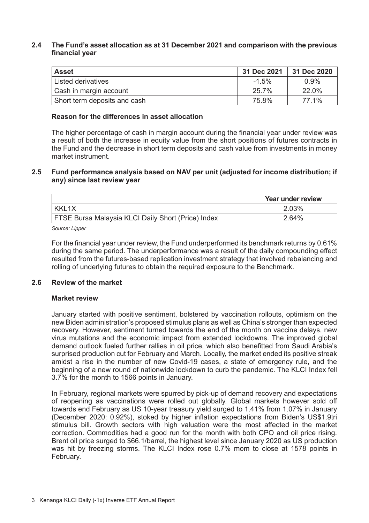#### **2.4 The Fund's asset allocation as at 31 December 2021 and comparison with the previous financial year**

| <b>Asset</b>                 | 31 Dec 2021 | 31 Dec 2020 |
|------------------------------|-------------|-------------|
| Listed derivatives           | $-1.5%$     | 0.9%        |
| Cash in margin account       | 25.7%       | 22.0%       |
| Short term deposits and cash | 75.8%       | 77 1%       |

#### **Reason for the differences in asset allocation**

The higher percentage of cash in margin account during the financial year under review was a result of both the increase in equity value from the short positions of futures contracts in the Fund and the decrease in short term deposits and cash value from investments in money market instrument.

#### **2.5 Fund performance analysis based on NAV per unit (adjusted for income distribution; if any) since last review year**

|                                                           | Year under review |
|-----------------------------------------------------------|-------------------|
| KKI 1X                                                    | 2.03%             |
| <b>FTSE Bursa Malaysia KLCI Daily Short (Price) Index</b> | 2.64%             |

*Source: Lipper*

For the financial year under review, the Fund underperformed its benchmark returns by 0.61% during the same period. The underperformance was a result of the daily compounding effect resulted from the futures-based replication investment strategy that involved rebalancing and rolling of underlying futures to obtain the required exposure to the Benchmark.

#### **2.6 Review of the market**

#### **Market review**

January started with positive sentiment, bolstered by vaccination rollouts, optimism on the new Biden administration's proposed stimulus plans as well as China's stronger than expected recovery. However, sentiment turned towards the end of the month on vaccine delays, new virus mutations and the economic impact from extended lockdowns. The improved global demand outlook fueled further rallies in oil price, which also benefitted from Saudi Arabia's surprised production cut for February and March. Locally, the market ended its positive streak amidst a rise in the number of new Covid-19 cases, a state of emergency rule, and the beginning of a new round of nationwide lockdown to curb the pandemic. The KLCI Index fell 3.7% for the month to 1566 points in January.

In February, regional markets were spurred by pick-up of demand recovery and expectations of reopening as vaccinations were rolled out globally. Global markets however sold off towards end February as US 10-year treasury yield surged to 1.41% from 1.07% in January (December 2020: 0.92%), stoked by higher inflation expectations from Biden's US\$1.9tri stimulus bill. Growth sectors with high valuation were the most affected in the market correction. Commodities had a good run for the month with both CPO and oil price rising. Brent oil price surged to \$66.1/barrel, the highest level since January 2020 as US production was hit by freezing storms. The KLCI Index rose 0.7% mom to close at 1578 points in February.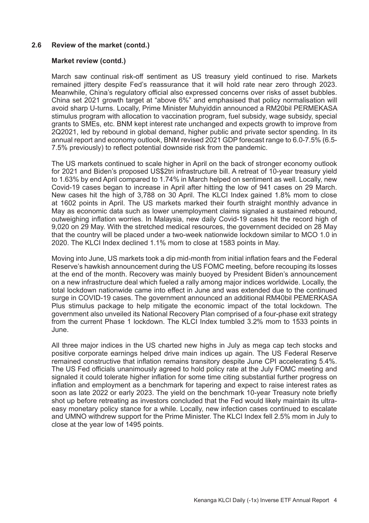#### **2.6 Review of the market (contd.)**

#### **Market review (contd.)**

March saw continual risk-off sentiment as US treasury yield continued to rise. Markets remained jittery despite Fed's reassurance that it will hold rate near zero through 2023. Meanwhile, China's regulatory official also expressed concerns over risks of asset bubbles. China set 2021 growth target at "above 6%" and emphasised that policy normalisation will avoid sharp U-turns. Locally, Prime Minister Muhyiddin announced a RM20bil PERMEKASA stimulus program with allocation to vaccination program, fuel subsidy, wage subsidy, special grants to SMEs, etc. BNM kept interest rate unchanged and expects growth to improve from 2Q2021, led by rebound in global demand, higher public and private sector spending. In its annual report and economy outlook, BNM revised 2021 GDP forecast range to 6.0-7.5% (6.5- 7.5% previously) to reflect potential downside risk from the pandemic.

The US markets continued to scale higher in April on the back of stronger economy outlook for 2021 and Biden's proposed US\$2tri infrastructure bill. A retreat of 10-year treasury yield to 1.63% by end April compared to 1.74% in March helped on sentiment as well. Locally, new Covid-19 cases began to increase in April after hitting the low of 941 cases on 29 March. New cases hit the high of 3,788 on 30 April. The KLCI Index gained 1.8% mom to close at 1602 points in April. The US markets marked their fourth straight monthly advance in May as economic data such as lower unemployment claims signaled a sustained rebound, outweighing inflation worries. In Malaysia, new daily Covid-19 cases hit the record high of 9,020 on 29 May. With the stretched medical resources, the government decided on 28 May that the country will be placed under a two-week nationwide lockdown similar to MCO 1.0 in 2020. The KLCI Index declined 1.1% mom to close at 1583 points in May.

Moving into June, US markets took a dip mid-month from initial inflation fears and the Federal Reserve's hawkish announcement during the US FOMC meeting, before recouping its losses at the end of the month. Recovery was mainly buoyed by President Biden's announcement on a new infrastructure deal which fueled a rally among major indices worldwide. Locally, the total lockdown nationwide came into effect in June and was extended due to the continued surge in COVID-19 cases. The government announced an additional RM40bil PEMERKASA Plus stimulus package to help mitigate the economic impact of the total lockdown. The government also unveiled its National Recovery Plan comprised of a four-phase exit strategy from the current Phase 1 lockdown. The KLCI Index tumbled 3.2% mom to 1533 points in June.

All three major indices in the US charted new highs in July as mega cap tech stocks and positive corporate earnings helped drive main indices up again. The US Federal Reserve remained constructive that inflation remains transitory despite June CPI accelerating 5.4%. The US Fed officials unanimously agreed to hold policy rate at the July FOMC meeting and signaled it could tolerate higher inflation for some time citing substantial further progress on inflation and employment as a benchmark for tapering and expect to raise interest rates as soon as late 2022 or early 2023. The yield on the benchmark 10-year Treasury note briefly shot up before retreating as investors concluded that the Fed would likely maintain its ultraeasy monetary policy stance for a while. Locally, new infection cases continued to escalate and UMNO withdrew support for the Prime Minister. The KLCI Index fell 2.5% mom in July to close at the year low of 1495 points.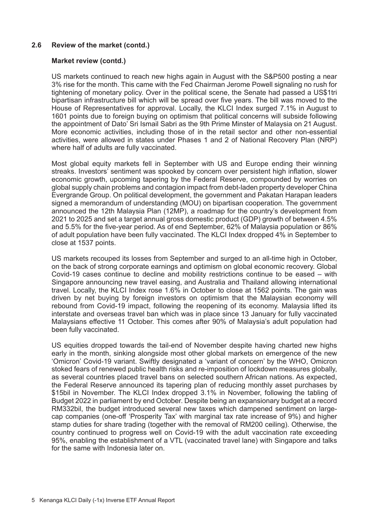## **2.6 Review of the market (contd.)**

#### **Market review (contd.)**

US markets continued to reach new highs again in August with the S&P500 posting a near 3% rise for the month. This came with the Fed Chairman Jerome Powell signaling no rush for tightening of monetary policy. Over in the political scene, the Senate had passed a US\$1tri bipartisan infrastructure bill which will be spread over five years. The bill was moved to the House of Representatives for approval. Locally, the KLCI Index surged 7.1% in August to 1601 points due to foreign buying on optimism that political concerns will subside following the appointment of Dato' Sri Ismail Sabri as the 9th Prime Minster of Malaysia on 21 August. More economic activities, including those of in the retail sector and other non-essential activities, were allowed in states under Phases 1 and 2 of National Recovery Plan (NRP) where half of adults are fully vaccinated.

Most global equity markets fell in September with US and Europe ending their winning streaks. Investors' sentiment was spooked by concern over persistent high inflation, slower economic growth, upcoming tapering by the Federal Reserve, compounded by worries on global supply chain problems and contagion impact from debt-laden property developer China Evergrande Group. On political development, the government and Pakatan Harapan leaders signed a memorandum of understanding (MOU) on bipartisan cooperation. The government announced the 12th Malaysia Plan (12MP), a roadmap for the country's development from 2021 to 2025 and set a target annual gross domestic product (GDP) growth of between 4.5% and 5.5% for the five-year period. As of end September, 62% of Malaysia population or 86% of adult population have been fully vaccinated. The KLCI Index dropped 4% in September to close at 1537 points.

US markets recouped its losses from September and surged to an all-time high in October, on the back of strong corporate earnings and optimism on global economic recovery. Global Covid-19 cases continue to decline and mobility restrictions continue to be eased – with Singapore announcing new travel easing, and Australia and Thailand allowing international travel. Locally, the KLCI Index rose 1.6% in October to close at 1562 points. The gain was driven by net buying by foreign investors on optimism that the Malaysian economy will rebound from Covid-19 impact, following the reopening of its economy. Malaysia lifted its interstate and overseas travel ban which was in place since 13 January for fully vaccinated Malaysians effective 11 October. This comes after 90% of Malaysia's adult population had been fully vaccinated.

US equities dropped towards the tail-end of November despite having charted new highs early in the month, sinking alongside most other global markets on emergence of the new 'Omicron' Covid-19 variant. Swiftly designated a 'variant of concern' by the WHO, Omicron stoked fears of renewed public health risks and re-imposition of lockdown measures globally, as several countries placed travel bans on selected southern African nations. As expected, the Federal Reserve announced its tapering plan of reducing monthly asset purchases by \$15bil in November. The KLCI Index dropped 3.1% in November, following the tabling of Budget 2022 in parliament by end October. Despite being an expansionary budget at a record RM332bil, the budget introduced several new taxes which dampened sentiment on largecap companies (one-off 'Prosperity Tax' with marginal tax rate increase of 9%) and higher stamp duties for share trading (together with the removal of RM200 ceiling). Otherwise, the country continued to progress well on Covid-19 with the adult vaccination rate exceeding 95%, enabling the establishment of a VTL (vaccinated travel lane) with Singapore and talks for the same with Indonesia later on.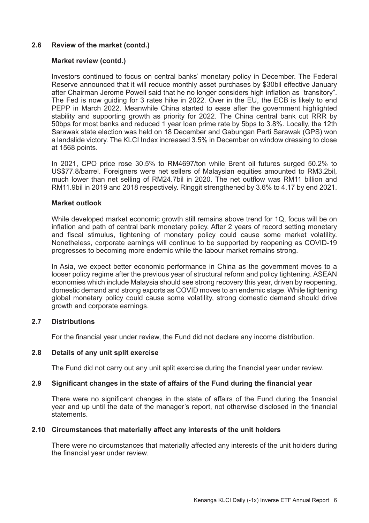#### **2.6 Review of the market (contd.)**

#### **Market review (contd.)**

Investors continued to focus on central banks' monetary policy in December. The Federal Reserve announced that it will reduce monthly asset purchases by \$30bil effective January after Chairman Jerome Powell said that he no longer considers high inflation as "transitory". The Fed is now guiding for 3 rates hike in 2022. Over in the EU, the ECB is likely to end PEPP in March 2022. Meanwhile China started to ease after the government highlighted stability and supporting growth as priority for 2022. The China central bank cut RRR by 50bps for most banks and reduced 1 year loan prime rate by 5bps to 3.8%. Locally, the 12th Sarawak state election was held on 18 December and Gabungan Parti Sarawak (GPS) won a landslide victory. The KLCI Index increased 3.5% in December on window dressing to close at 1568 points.

In 2021, CPO price rose 30.5% to RM4697/ton while Brent oil futures surged 50.2% to US\$77.8/barrel. Foreigners were net sellers of Malaysian equities amounted to RM3.2bil, much lower than net selling of RM24.7bil in 2020. The net outflow was RM11 billion and RM11.9bil in 2019 and 2018 respectively. Ringgit strengthened by 3.6% to 4.17 by end 2021.

#### **Market outlook**

While developed market economic growth still remains above trend for 1Q, focus will be on inflation and path of central bank monetary policy. After 2 years of record setting monetary and fiscal stimulus, tightening of monetary policy could cause some market volatility. Nonetheless, corporate earnings will continue to be supported by reopening as COVID-19 progresses to becoming more endemic while the labour market remains strong.

In Asia, we expect better economic performance in China as the government moves to a looser policy regime after the previous year of structural reform and policy tightening. ASEAN economies which include Malaysia should see strong recovery this year, driven by reopening, domestic demand and strong exports as COVID moves to an endemic stage. While tightening global monetary policy could cause some volatility, strong domestic demand should drive growth and corporate earnings.

#### **2.7 Distributions**

For the financial year under review, the Fund did not declare any income distribution.

#### **2.8 Details of any unit split exercise**

The Fund did not carry out any unit split exercise during the financial year under review.

#### **2.9 Significant changes in the state of affairs of the Fund during the financial year**

There were no significant changes in the state of affairs of the Fund during the financial year and up until the date of the manager's report, not otherwise disclosed in the financial statements.

#### **2.10 Circumstances that materially affect any interests of the unit holders**

There were no circumstances that materially affected any interests of the unit holders during the financial year under review.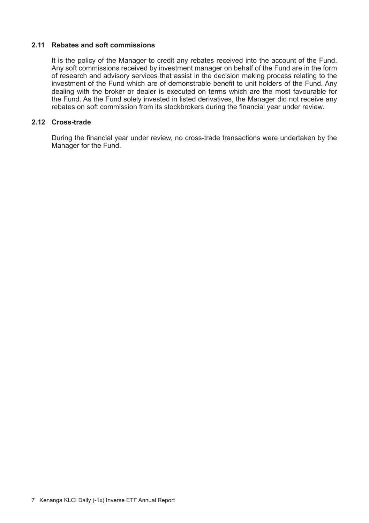# **2.11 Rebates and soft commissions**

It is the policy of the Manager to credit any rebates received into the account of the Fund. Any soft commissions received by investment manager on behalf of the Fund are in the form of research and advisory services that assist in the decision making process relating to the investment of the Fund which are of demonstrable benefit to unit holders of the Fund. Any dealing with the broker or dealer is executed on terms which are the most favourable for the Fund. As the Fund solely invested in listed derivatives, the Manager did not receive any rebates on soft commission from its stockbrokers during the financial year under review.

# **2.12 Cross-trade**

During the financial year under review, no cross-trade transactions were undertaken by the Manager for the Fund.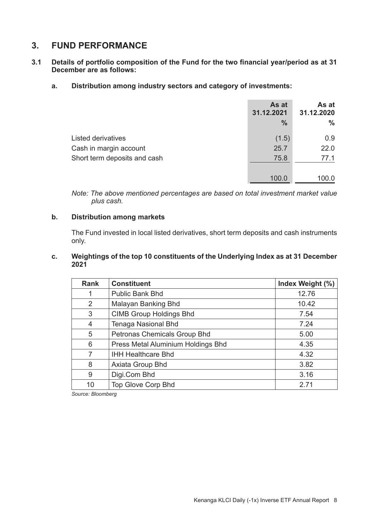# **3. FUND PERFORMANCE**

- **3.1 Details of portfolio composition of the Fund for the two financial year/period as at 31 December are as follows:**
	- **a. Distribution among industry sectors and category of investments:**

|                              | As at<br>31.12.2021<br>$\%$ | As at<br>31.12.2020<br>% |
|------------------------------|-----------------------------|--------------------------|
| Listed derivatives           | (1.5)                       | 0.9                      |
| Cash in margin account       | 25.7                        | 22.0                     |
| Short term deposits and cash | 75.8                        | 77.1                     |
|                              | 100.0                       | 100.0                    |

*Note: The above mentioned percentages are based on total investment market value plus cash.*

#### **b. Distribution among markets**

The Fund invested in local listed derivatives, short term deposits and cash instruments only.

#### **c. Weightings of the top 10 constituents of the Underlying Index as at 31 December 2021**

| Rank | <b>Constituent</b>                 | Index Weight (%) |
|------|------------------------------------|------------------|
| 1    | Public Bank Bhd                    | 12.76            |
| 2    | Malayan Banking Bhd                | 10.42            |
| 3    | <b>CIMB Group Holdings Bhd</b>     | 7.54             |
| 4    | Tenaga Nasional Bhd                | 7.24             |
| 5    | Petronas Chemicals Group Bhd       | 5.00             |
| 6    | Press Metal Aluminium Holdings Bhd | 4.35             |
| 7    | <b>IHH Healthcare Bhd</b>          | 4.32             |
| 8    | Axiata Group Bhd                   | 3.82             |
| 9    | Digi.Com Bhd                       | 3.16             |
| 10   | Top Glove Corp Bhd                 | 2.71             |

*Source: Bloomberg*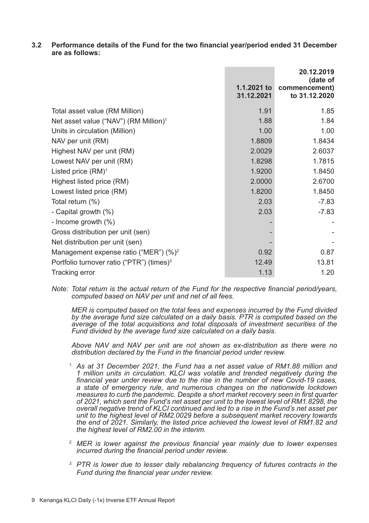**3.2 Performance details of the Fund for the two financial year/period ended 31 December are as follows:**

|                                                       | 1.1.2021 to<br>31.12.2021 | 20.12.2019<br>(date of<br>commencement)<br>to 31.12.2020 |
|-------------------------------------------------------|---------------------------|----------------------------------------------------------|
| Total asset value (RM Million)                        | 1.91                      | 1.85                                                     |
| Net asset value ("NAV") (RM Million) <sup>1</sup>     | 1.88                      | 1.84                                                     |
| Units in circulation (Million)                        | 1.00                      | 1.00                                                     |
| NAV per unit (RM)                                     | 1.8809                    | 1.8434                                                   |
| Highest NAV per unit (RM)                             | 2.0029                    | 2.6037                                                   |
| Lowest NAV per unit (RM)                              | 1.8298                    | 1.7815                                                   |
| Listed price $(RM)^1$                                 | 1.9200                    | 1.8450                                                   |
| Highest listed price (RM)                             | 2.0000                    | 2.6700                                                   |
| Lowest listed price (RM)                              | 1.8200                    | 1.8450                                                   |
| Total return (%)                                      | 2.03                      | $-7.83$                                                  |
| - Capital growth (%)                                  | 2.03                      | $-7.83$                                                  |
| - Income growth $(\%)$                                |                           |                                                          |
| Gross distribution per unit (sen)                     |                           |                                                          |
| Net distribution per unit (sen)                       |                           |                                                          |
| Management expense ratio ("MER") (%) <sup>2</sup>     | 0.92                      | 0.87                                                     |
| Portfolio turnover ratio ("PTR") (times) <sup>3</sup> | 12.49                     | 13.81                                                    |
| Tracking error                                        | 1.13                      | 1.20                                                     |

*Note: Total return is the actual return of the Fund for the respective financial period/years, computed based on NAV per unit and net of all fees.*

 *MER is computed based on the total fees and expenses incurred by the Fund divided by the average fund size calculated on a daily basis. PTR is computed based on the average of the total acquisitions and total disposals of investment securities of the Fund divided by the average fund size calculated on a daily basis.*

*Above NAV and NAV per unit are not shown as ex-distribution as there were no distribution declared by the Fund in the financial period under review.*

- *1. As at 31 December 2021, the Fund has a net asset value of RM1.88 million and 1 million units in circulation. KLCI was volatile and trended negatively during the financial year under review due to the rise in the number of new Covid-19 cases, a state of emergency rule, and numerous changes on the nationwide lockdown measures to curb the pandemic. Despite a short market recovery seen in first quarter of 2021, which sent the Fund's net asset per unit to the lowest level of RM1.8298, the overall negative trend of KLCI continued and led to a rise in the Fund's net asset per unit to the highest level of RM2.0029 before a subsequent market recovery towards the end of 2021. Similarly, the listed price achieved the lowest level of RM1.82 and the highest level of RM2.00 in the interim.*
- *2. MER is lower against the previous financial year mainly due to lower expenses incurred during the financial period under review.*
- *3. PTR is lower due to lesser daily rebalancing frequency of futures contracts in the Fund during the financial year under review.*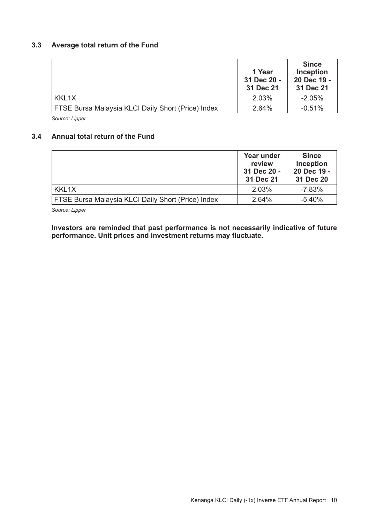# **3.3 Average total return of the Fund**

|                                                    | 1 Year<br>31 Dec 20 -<br>31 Dec 21 | <b>Since</b><br>Inception<br>20 Dec 19 -<br>31 Dec 21 |
|----------------------------------------------------|------------------------------------|-------------------------------------------------------|
| KKL1X                                              | 2.03%                              | $-2.05%$                                              |
| FTSE Bursa Malaysia KLCI Daily Short (Price) Index | 2.64%                              | $-0.51%$                                              |

*Source: Lipper*

## **3.4 Annual total return of the Fund**

|                                                    | Year under<br>review<br>31 Dec 20 -<br>31 Dec 21 | <b>Since</b><br>Inception<br>20 Dec 19 -<br>31 Dec 20 |
|----------------------------------------------------|--------------------------------------------------|-------------------------------------------------------|
| KKL1X                                              | 2.03%                                            | $-7.83%$                                              |
| FTSE Bursa Malaysia KLCI Daily Short (Price) Index | 2.64%                                            | $-5.40%$                                              |

*Source: Lipper* 

**Investors are reminded that past performance is not necessarily indicative of future performance. Unit prices and investment returns may fluctuate.**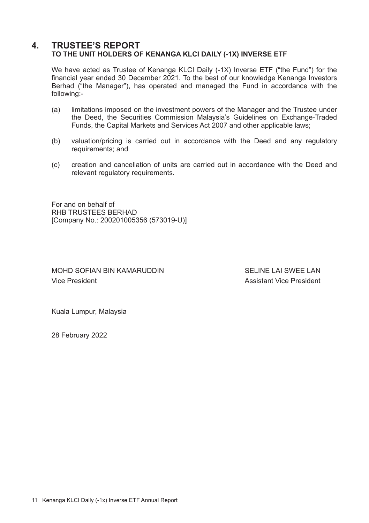# **4. TRUSTEE'S REPORT TO THE UNIT HOLDERS OF KENANGA KLCI DAILY (-1X) INVERSE ETF**

We have acted as Trustee of Kenanga KLCI Daily (-1X) Inverse ETF ("the Fund") for the financial year ended 30 December 2021. To the best of our knowledge Kenanga Investors Berhad ("the Manager"), has operated and managed the Fund in accordance with the following:-

- (a) limitations imposed on the investment powers of the Manager and the Trustee under the Deed, the Securities Commission Malaysia's Guidelines on Exchange-Traded Funds, the Capital Markets and Services Act 2007 and other applicable laws;
- (b) valuation/pricing is carried out in accordance with the Deed and any regulatory requirements; and
- (c) creation and cancellation of units are carried out in accordance with the Deed and relevant regulatory requirements.

For and on behalf of RHB TRUSTEES BERHAD [Company No.: 200201005356 (573019-U)]

MOHD SOFIAN BIN KAMARUDDIN SELINE LAI SWEE LAN Vice President **Assistant Vice President** 

Kuala Lumpur, Malaysia

28 February 2022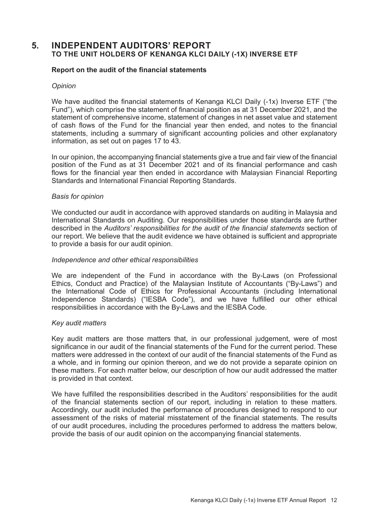# **5. INDEPENDENT AUDITORS' REPORT TO THE UNIT HOLDERS OF KENANGA KLCI DAILY (-1X) INVERSE ETF**

#### **Report on the audit of the financial statements**

#### *Opinion*

We have audited the financial statements of Kenanga KLCI Daily (-1x) Inverse ETF ("the Fund"), which comprise the statement of financial position as at 31 December 2021, and the statement of comprehensive income, statement of changes in net asset value and statement of cash flows of the Fund for the financial year then ended, and notes to the financial statements, including a summary of significant accounting policies and other explanatory information, as set out on pages 17 to 43.

In our opinion, the accompanying financial statements give a true and fair view of the financial position of the Fund as at 31 December 2021 and of its financial performance and cash flows for the financial year then ended in accordance with Malaysian Financial Reporting Standards and International Financial Reporting Standards.

#### *Basis for opinion*

We conducted our audit in accordance with approved standards on auditing in Malaysia and International Standards on Auditing. Our responsibilities under those standards are further described in the *Auditors' responsibilities for the audit of the financial statements* section of our report. We believe that the audit evidence we have obtained is sufficient and appropriate to provide a basis for our audit opinion.

#### *Independence and other ethical responsibilities*

We are independent of the Fund in accordance with the By-Laws (on Professional Ethics, Conduct and Practice) of the Malaysian Institute of Accountants ("By-Laws") and the International Code of Ethics for Professional Accountants (including International Independence Standards) ("IESBA Code"), and we have fulfilled our other ethical responsibilities in accordance with the By-Laws and the IESBA Code.

#### *Key audit matters*

Key audit matters are those matters that, in our professional judgement, were of most significance in our audit of the financial statements of the Fund for the current period. These matters were addressed in the context of our audit of the financial statements of the Fund as a whole, and in forming our opinion thereon, and we do not provide a separate opinion on these matters. For each matter below, our description of how our audit addressed the matter is provided in that context.

We have fulfilled the responsibilities described in the Auditors' responsibilities for the audit of the financial statements section of our report, including in relation to these matters. Accordingly, our audit included the performance of procedures designed to respond to our assessment of the risks of material misstatement of the financial statements. The results of our audit procedures, including the procedures performed to address the matters below, provide the basis of our audit opinion on the accompanying financial statements.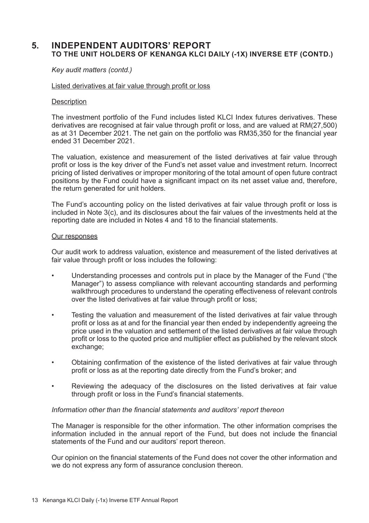# **5. INDEPENDENT AUDITORS' REPORT TO THE UNIT HOLDERS OF KENANGA KLCI DAILY (-1X) INVERSE ETF (CONTD.)**

#### *Key audit matters (contd.)*

#### Listed derivatives at fair value through profit or loss

#### **Description**

The investment portfolio of the Fund includes listed KLCI Index futures derivatives. These derivatives are recognised at fair value through profit or loss, and are valued at RM(27,500) as at 31 December 2021. The net gain on the portfolio was RM35,350 for the financial year ended 31 December 2021.

The valuation, existence and measurement of the listed derivatives at fair value through profit or loss is the key driver of the Fund's net asset value and investment return. Incorrect pricing of listed derivatives or improper monitoring of the total amount of open future contract positions by the Fund could have a significant impact on its net asset value and, therefore, the return generated for unit holders.

The Fund's accounting policy on the listed derivatives at fair value through profit or loss is included in Note 3(c), and its disclosures about the fair values of the investments held at the reporting date are included in Notes 4 and 18 to the financial statements.

#### Our responses

Our audit work to address valuation, existence and measurement of the listed derivatives at fair value through profit or loss includes the following:

- Understanding processes and controls put in place by the Manager of the Fund ("the Manager") to assess compliance with relevant accounting standards and performing walkthrough procedures to understand the operating effectiveness of relevant controls over the listed derivatives at fair value through profit or loss;
- Testing the valuation and measurement of the listed derivatives at fair value through profit or loss as at and for the financial year then ended by independently agreeing the price used in the valuation and settlement of the listed derivatives at fair value through profit or loss to the quoted price and multiplier effect as published by the relevant stock exchange;
- Obtaining confirmation of the existence of the listed derivatives at fair value through profit or loss as at the reporting date directly from the Fund's broker; and
- Reviewing the adequacy of the disclosures on the listed derivatives at fair value through profit or loss in the Fund's financial statements.

#### *Information other than the financial statements and auditors' report thereon*

The Manager is responsible for the other information. The other information comprises the information included in the annual report of the Fund, but does not include the financial statements of the Fund and our auditors' report thereon.

Our opinion on the financial statements of the Fund does not cover the other information and we do not express any form of assurance conclusion thereon.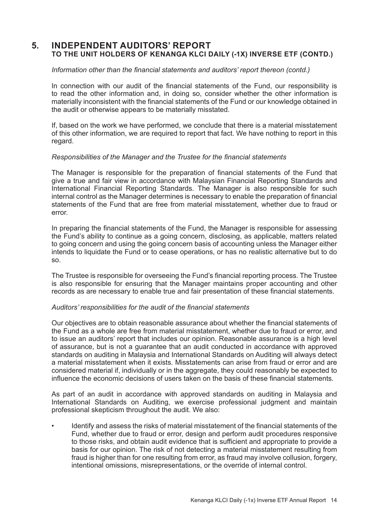# **5. INDEPENDENT AUDITORS' REPORT TO THE UNIT HOLDERS OF KENANGA KLCI DAILY (-1X) INVERSE ETF (CONTD.)**

#### *Information other than the financial statements and auditors' report thereon (contd.)*

In connection with our audit of the financial statements of the Fund, our responsibility is to read the other information and, in doing so, consider whether the other information is materially inconsistent with the financial statements of the Fund or our knowledge obtained in the audit or otherwise appears to be materially misstated.

If, based on the work we have performed, we conclude that there is a material misstatement of this other information, we are required to report that fact. We have nothing to report in this regard.

#### *Responsibilities of the Manager and the Trustee for the financial statements*

The Manager is responsible for the preparation of financial statements of the Fund that give a true and fair view in accordance with Malaysian Financial Reporting Standards and International Financial Reporting Standards. The Manager is also responsible for such internal control as the Manager determines is necessary to enable the preparation of financial statements of the Fund that are free from material misstatement, whether due to fraud or error.

In preparing the financial statements of the Fund, the Manager is responsible for assessing the Fund's ability to continue as a going concern, disclosing, as applicable, matters related to going concern and using the going concern basis of accounting unless the Manager either intends to liquidate the Fund or to cease operations, or has no realistic alternative but to do so.

The Trustee is responsible for overseeing the Fund's financial reporting process. The Trustee is also responsible for ensuring that the Manager maintains proper accounting and other records as are necessary to enable true and fair presentation of these financial statements.

#### *Auditors' responsibilities for the audit of the financial statements*

Our objectives are to obtain reasonable assurance about whether the financial statements of the Fund as a whole are free from material misstatement, whether due to fraud or error, and to issue an auditors' report that includes our opinion. Reasonable assurance is a high level of assurance, but is not a guarantee that an audit conducted in accordance with approved standards on auditing in Malaysia and International Standards on Auditing will always detect a material misstatement when it exists. Misstatements can arise from fraud or error and are considered material if, individually or in the aggregate, they could reasonably be expected to influence the economic decisions of users taken on the basis of these financial statements.

As part of an audit in accordance with approved standards on auditing in Malaysia and International Standards on Auditing, we exercise professional judgment and maintain professional skepticism throughout the audit. We also:

• Identify and assess the risks of material misstatement of the financial statements of the Fund, whether due to fraud or error, design and perform audit procedures responsive to those risks, and obtain audit evidence that is sufficient and appropriate to provide a basis for our opinion. The risk of not detecting a material misstatement resulting from fraud is higher than for one resulting from error, as fraud may involve collusion, forgery, intentional omissions, misrepresentations, or the override of internal control.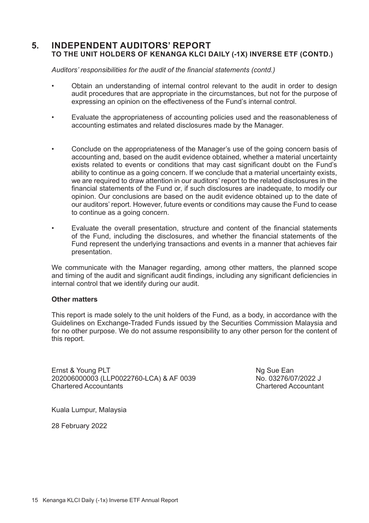# **5. INDEPENDENT AUDITORS' REPORT TO THE UNIT HOLDERS OF KENANGA KLCI DAILY (-1X) INVERSE ETF (CONTD.)**

 *Auditors' responsibilities for the audit of the financial statements (contd.)*

- Obtain an understanding of internal control relevant to the audit in order to design audit procedures that are appropriate in the circumstances, but not for the purpose of expressing an opinion on the effectiveness of the Fund's internal control.
- Evaluate the appropriateness of accounting policies used and the reasonableness of accounting estimates and related disclosures made by the Manager.
- Conclude on the appropriateness of the Manager's use of the going concern basis of accounting and, based on the audit evidence obtained, whether a material uncertainty exists related to events or conditions that may cast significant doubt on the Fund's ability to continue as a going concern. If we conclude that a material uncertainty exists, we are required to draw attention in our auditors' report to the related disclosures in the financial statements of the Fund or, if such disclosures are inadequate, to modify our opinion. Our conclusions are based on the audit evidence obtained up to the date of our auditors' report. However, future events or conditions may cause the Fund to cease to continue as a going concern.
- Evaluate the overall presentation, structure and content of the financial statements of the Fund, including the disclosures, and whether the financial statements of the Fund represent the underlying transactions and events in a manner that achieves fair presentation.

We communicate with the Manager regarding, among other matters, the planned scope and timing of the audit and significant audit findings, including any significant deficiencies in internal control that we identify during our audit.

#### **Other matters**

This report is made solely to the unit holders of the Fund, as a body, in accordance with the Guidelines on Exchange-Traded Funds issued by the Securities Commission Malaysia and for no other purpose. We do not assume responsibility to any other person for the content of this report.

Ernst & Young PLT<br>202006000003 (LLP0022760-LCA) & AF 0039 (No. 03276/07/2022 J 202006000003 (LLP0022760-LCA) & AF 0039 No. 03276/07/2022 J<br>Chartered Accountants Chartered Accountants Chartered Accountant

Kuala Lumpur, Malaysia

28 February 2022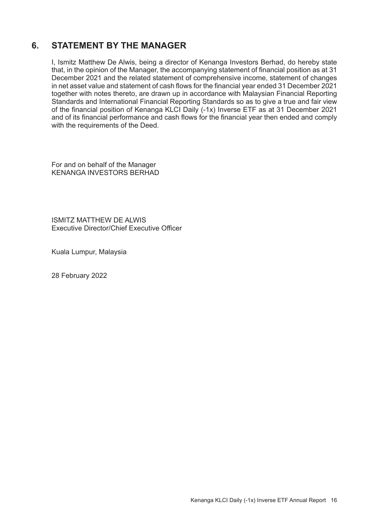# **6. STATEMENT BY THE MANAGER**

I, Ismitz Matthew De Alwis, being a director of Kenanga Investors Berhad, do hereby state that, in the opinion of the Manager, the accompanying statement of financial position as at 31 December 2021 and the related statement of comprehensive income, statement of changes in net asset value and statement of cash flows for the financial year ended 31 December 2021 together with notes thereto, are drawn up in accordance with Malaysian Financial Reporting Standards and International Financial Reporting Standards so as to give a true and fair view of the financial position of Kenanga KLCI Daily (-1x) Inverse ETF as at 31 December 2021 and of its financial performance and cash flows for the financial year then ended and comply with the requirements of the Deed.

For and on behalf of the Manager KENANGA INVESTORS BERHAD

ISMITZ MATTHEW DE ALWIS Executive Director/Chief Executive Officer

Kuala Lumpur, Malaysia

28 February 2022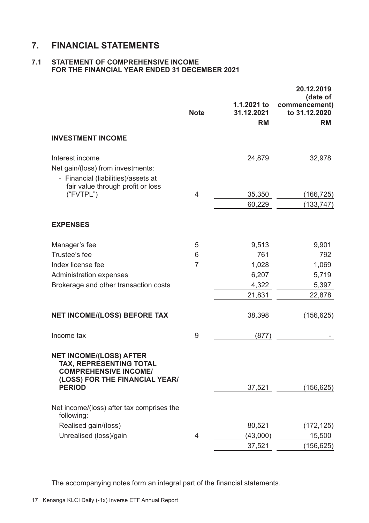# **7. FINANCIAL STATEMENTS**

## **7.1 STATEMENT OF COMPREHENSIVE INCOME FOR THE FINANCIAL YEAR ENDED 31 DECEMBER 2021**

|                                                                                                                                    | <b>Note</b> | 1.1.2021 to<br>31.12.2021<br><b>RM</b> | 20.12.2019<br>(date of<br>commencement)<br>to 31.12.2020<br><b>RM</b> |
|------------------------------------------------------------------------------------------------------------------------------------|-------------|----------------------------------------|-----------------------------------------------------------------------|
| <b>INVESTMENT INCOME</b>                                                                                                           |             |                                        |                                                                       |
| Interest income<br>Net gain/(loss) from investments:<br>- Financial (liabilities)/assets at<br>fair value through profit or loss   |             | 24,879                                 | 32,978                                                                |
| ("FVTPL")                                                                                                                          | 4           | 35,350                                 | (166, 725)                                                            |
|                                                                                                                                    |             | 60,229                                 | (133, 747)                                                            |
| <b>EXPENSES</b>                                                                                                                    |             |                                        |                                                                       |
| Manager's fee                                                                                                                      | 5           | 9,513                                  | 9,901                                                                 |
| Trustee's fee                                                                                                                      | 6           | 761                                    | 792                                                                   |
| Index license fee                                                                                                                  | 7           | 1,028                                  | 1,069                                                                 |
| Administration expenses                                                                                                            |             | 6,207                                  | 5,719                                                                 |
| Brokerage and other transaction costs                                                                                              |             | 4,322                                  | 5,397                                                                 |
|                                                                                                                                    |             | 21,831                                 | 22,878                                                                |
| <b>NET INCOME/(LOSS) BEFORE TAX</b>                                                                                                |             | 38,398                                 | (156, 625)                                                            |
| Income tax                                                                                                                         | 9           | (877)                                  |                                                                       |
| <b>NET INCOME/(LOSS) AFTER</b><br><b>TAX, REPRESENTING TOTAL</b><br><b>COMPREHENSIVE INCOME/</b><br>(LOSS) FOR THE FINANCIAL YEAR/ |             |                                        |                                                                       |
| <b>PERIOD</b>                                                                                                                      |             | 37,521                                 | (156, 625)                                                            |
| Net income/(loss) after tax comprises the<br>following:                                                                            |             |                                        |                                                                       |
| Realised gain/(loss)                                                                                                               |             | 80,521                                 | (172, 125)                                                            |
| Unrealised (loss)/gain                                                                                                             | 4           | (43,000)                               | 15,500                                                                |
|                                                                                                                                    |             | 37,521                                 | (156, 625)                                                            |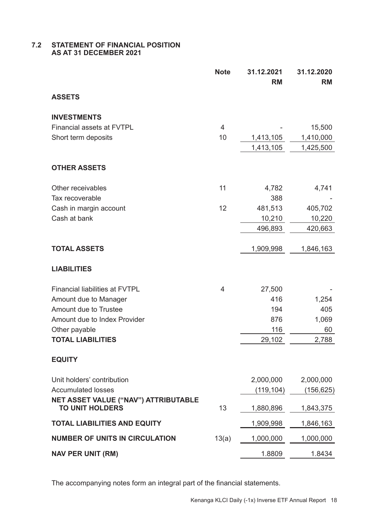#### **7.2 STATEMENT OF FINANCIAL POSITION AS AT 31 DECEMBER 2021**

|                                                                | <b>Note</b> | 31.12.2021<br><b>RM</b> | 31.12.2020<br><b>RM</b> |
|----------------------------------------------------------------|-------------|-------------------------|-------------------------|
| <b>ASSETS</b>                                                  |             |                         |                         |
| <b>INVESTMENTS</b>                                             |             |                         |                         |
| <b>Financial assets at FVTPL</b>                               | 4           |                         | 15,500                  |
| Short term deposits                                            | 10          | 1,413,105               | 1,410,000               |
|                                                                |             | 1,413,105               | 1,425,500               |
| <b>OTHER ASSETS</b>                                            |             |                         |                         |
| Other receivables                                              | 11          | 4,782                   | 4,741                   |
| Tax recoverable                                                |             | 388                     |                         |
| Cash in margin account                                         | 12          | 481,513                 | 405,702                 |
| Cash at bank                                                   |             | 10,210                  | 10,220                  |
|                                                                |             | 496,893                 | 420,663                 |
| <b>TOTAL ASSETS</b>                                            |             | 1,909,998               | 1,846,163               |
| <b>LIABILITIES</b>                                             |             |                         |                         |
| <b>Financial liabilities at FVTPL</b>                          | 4           | 27,500                  |                         |
| Amount due to Manager                                          |             | 416                     | 1,254                   |
| Amount due to Trustee                                          |             | 194                     | 405                     |
| Amount due to Index Provider                                   |             | 876                     | 1,069                   |
| Other payable                                                  |             | 116                     | 60                      |
| <b>TOTAL LIABILITIES</b>                                       |             | 29,102                  | 2,788                   |
| <b>EQUITY</b>                                                  |             |                         |                         |
| Unit holders' contribution                                     |             | 2,000,000               | 2,000,000               |
| <b>Accumulated losses</b>                                      |             | (119, 104)              | (156, 625)              |
| NET ASSET VALUE ("NAV") ATTRIBUTABLE<br><b>TO UNIT HOLDERS</b> | 13          | 1,880,896               | 1,843,375               |
| <b>TOTAL LIABILITIES AND EQUITY</b>                            |             | 1,909,998               | 1,846,163               |
| <b>NUMBER OF UNITS IN CIRCULATION</b>                          | 13(a)       | 1,000,000               | 1,000,000               |
| <b>NAV PER UNIT (RM)</b>                                       |             | 1.8809                  | 1.8434                  |
|                                                                |             |                         |                         |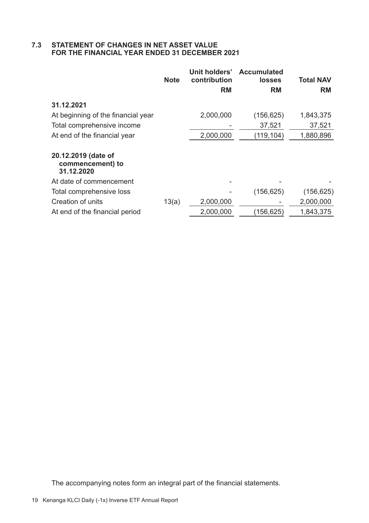# **7.3 STATEMENT OF CHANGES IN NET ASSET VALUE FOR THE FINANCIAL YEAR ENDED 31 DECEMBER 2021**

|                                                       | <b>Note</b> | Unit holders'<br>contribution<br><b>RM</b> | Accumulated<br>losses<br><b>RM</b> | Total NAV<br><b>RM</b> |
|-------------------------------------------------------|-------------|--------------------------------------------|------------------------------------|------------------------|
| 31.12.2021                                            |             |                                            |                                    |                        |
| At beginning of the financial year                    |             | 2,000,000                                  | (156, 625)                         | 1,843,375              |
| Total comprehensive income                            |             |                                            | 37,521                             | 37,521                 |
| At end of the financial year                          |             | 2,000,000                                  | (119,104)                          | 1,880,896              |
| 20.12.2019 (date of<br>commencement) to<br>31.12.2020 |             |                                            |                                    |                        |
| At date of commencement                               |             |                                            |                                    |                        |
| Total comprehensive loss                              |             |                                            | (156, 625)                         | (156, 625)             |
| Creation of units                                     | 13(a)       | 2,000,000                                  |                                    | 2,000,000              |
| At end of the financial period                        |             | 2,000,000                                  | (156,625)                          | 1,843,375              |
|                                                       |             |                                            |                                    |                        |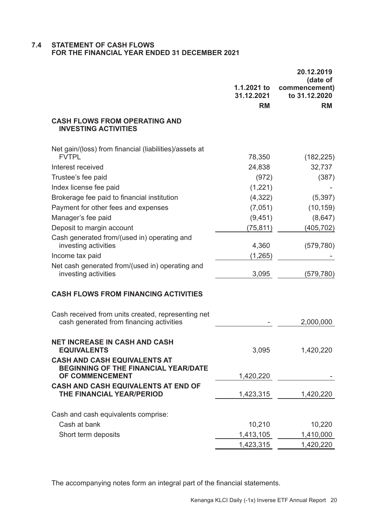#### **7.4 STATEMENT OF CASH FLOWS FOR THE FINANCIAL YEAR ENDED 31 DECEMBER 2021**

|                                                                                                       |                           | 20.12.2019<br>(date of         |
|-------------------------------------------------------------------------------------------------------|---------------------------|--------------------------------|
|                                                                                                       | 1.1.2021 to<br>31.12.2021 | commencement)<br>to 31.12.2020 |
|                                                                                                       | <b>RM</b>                 | <b>RM</b>                      |
| <b>CASH FLOWS FROM OPERATING AND</b><br><b>INVESTING ACTIVITIES</b>                                   |                           |                                |
| Net gain/(loss) from financial (liabilities)/assets at                                                |                           |                                |
| <b>FVTPL</b>                                                                                          | 78,350                    | (182, 225)                     |
| Interest received                                                                                     | 24,838                    | 32,737                         |
| Trustee's fee paid                                                                                    | (972)                     | (387)                          |
| Index license fee paid                                                                                | (1,221)                   |                                |
| Brokerage fee paid to financial institution                                                           | (4,322)                   | (5, 397)                       |
| Payment for other fees and expenses                                                                   | (7,051)                   | (10, 159)                      |
| Manager's fee paid                                                                                    | (9, 451)                  | (8,647)                        |
| Deposit to margin account                                                                             | (75, 811)                 | (405, 702)                     |
| Cash generated from/(used in) operating and<br>investing activities                                   | 4,360                     | (579, 780)                     |
| Income tax paid                                                                                       | (1,265)                   |                                |
| Net cash generated from/(used in) operating and<br>investing activities                               | 3,095                     | (579, 780)                     |
| <b>CASH FLOWS FROM FINANCING ACTIVITIES</b>                                                           |                           |                                |
| Cash received from units created, representing net<br>cash generated from financing activities        |                           | 2,000,000                      |
| <b>NET INCREASE IN CASH AND CASH</b><br><b>EQUIVALENTS</b>                                            | 3,095                     | 1,420,220                      |
| <b>CASH AND CASH EQUIVALENTS AT</b><br><b>BEGINNING OF THE FINANCIAL YEAR/DATE</b><br>OF COMMENCEMENT | 1,420,220                 |                                |
| <b>CASH AND CASH EQUIVALENTS AT END OF</b>                                                            |                           |                                |
| THE FINANCIAL YEAR/PERIOD                                                                             | 1,423,315                 | 1,420,220                      |
| Cash and cash equivalents comprise:                                                                   |                           |                                |
| Cash at bank                                                                                          | 10,210                    | 10,220                         |
| Short term deposits                                                                                   | 1,413,105                 | 1,410,000                      |
|                                                                                                       | 1,423,315                 | 1,420,220                      |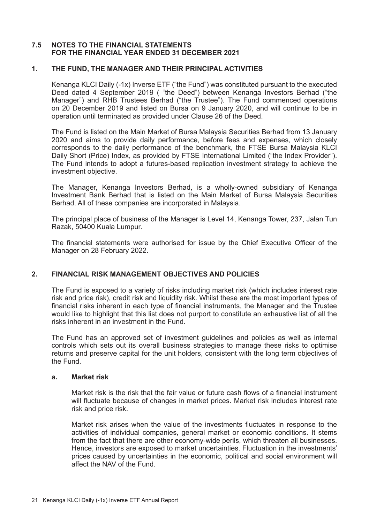## **7.5 NOTES TO THE FINANCIAL STATEMENTS FOR THE FINANCIAL YEAR ENDED 31 DECEMBER 2021**

#### **1. THE FUND, THE MANAGER AND THEIR PRINCIPAL ACTIVITIES**

Kenanga KLCI Daily (-1x) Inverse ETF ("the Fund") was constituted pursuant to the executed Deed dated 4 September 2019 ( "the Deed") between Kenanga Investors Berhad ("the Manager") and RHB Trustees Berhad ("the Trustee"). The Fund commenced operations on 20 December 2019 and listed on Bursa on 9 January 2020, and will continue to be in operation until terminated as provided under Clause 26 of the Deed.

The Fund is listed on the Main Market of Bursa Malaysia Securities Berhad from 13 January 2020 and aims to provide daily performance, before fees and expenses, which closely corresponds to the daily performance of the benchmark, the FTSE Bursa Malaysia KLCI Daily Short (Price) Index, as provided by FTSE International Limited ("the Index Provider"). The Fund intends to adopt a futures-based replication investment strategy to achieve the investment objective.

The Manager, Kenanga Investors Berhad, is a wholly-owned subsidiary of Kenanga Investment Bank Berhad that is listed on the Main Market of Bursa Malaysia Securities Berhad. All of these companies are incorporated in Malaysia.

The principal place of business of the Manager is Level 14, Kenanga Tower, 237, Jalan Tun Razak, 50400 Kuala Lumpur.

The financial statements were authorised for issue by the Chief Executive Officer of the Manager on 28 February 2022.

#### **2. FINANCIAL RISK MANAGEMENT OBJECTIVES AND POLICIES**

The Fund is exposed to a variety of risks including market risk (which includes interest rate risk and price risk), credit risk and liquidity risk. Whilst these are the most important types of financial risks inherent in each type of financial instruments, the Manager and the Trustee would like to highlight that this list does not purport to constitute an exhaustive list of all the risks inherent in an investment in the Fund.

The Fund has an approved set of investment guidelines and policies as well as internal controls which sets out its overall business strategies to manage these risks to optimise returns and preserve capital for the unit holders, consistent with the long term objectives of the Fund.

#### **a. Market risk**

Market risk is the risk that the fair value or future cash flows of a financial instrument will fluctuate because of changes in market prices. Market risk includes interest rate risk and price risk.

Market risk arises when the value of the investments fluctuates in response to the activities of individual companies, general market or economic conditions. It stems from the fact that there are other economy-wide perils, which threaten all businesses Hence, investors are exposed to market uncertainties. Fluctuation in the investments' prices caused by uncertainties in the economic, political and social environment will affect the NAV of the Fund.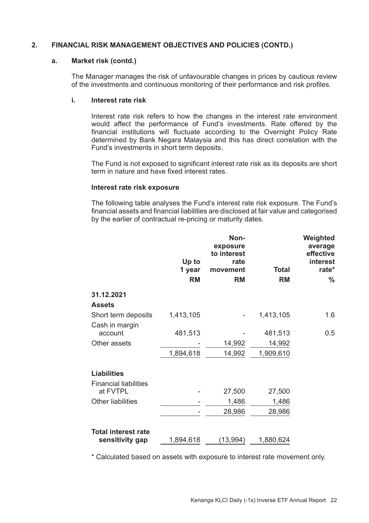#### **a. Market risk (contd.)**

The Manager manages the risk of unfavourable changes in prices by cautious review of the investments and continuous monitoring of their performance and risk profiles.

#### **i. Interest rate risk**

Interest rate risk refers to how the changes in the interest rate environment would affect the performance of Fund's investments. Rate offered by the financial institutions will fluctuate according to the Overnight Policy Rate determined by Bank Negara Malaysia and this has direct correlation with the Fund's investments in short term deposits.

The Fund is not exposed to significant interest rate risk as its deposits are short term in nature and have fixed interest rates.

#### **Interest rate risk exposure**

The following table analyses the Fund's interest rate risk exposure. The Fund's financial assets and financial liabilities are disclosed at fair value and categorised by the earlier of contractual re-pricing or maturity dates.

|                              | Up to<br>1 year<br><b>RM</b> | Non-<br>exposure<br>to interest<br>rate<br>movement<br><b>RM</b> | <b>Total</b><br><b>RM</b> | Weighted<br>average<br>effective<br>interest<br>rate*<br>% |
|------------------------------|------------------------------|------------------------------------------------------------------|---------------------------|------------------------------------------------------------|
| 31.12.2021                   |                              |                                                                  |                           |                                                            |
| <b>Assets</b>                |                              |                                                                  |                           |                                                            |
| Short term deposits          | 1,413,105                    |                                                                  | 1,413,105                 | 1.6                                                        |
| Cash in margin               |                              |                                                                  |                           |                                                            |
| account                      | 481,513                      |                                                                  | 481,513                   | 0.5                                                        |
| Other assets                 |                              | 14,992                                                           | 14,992                    |                                                            |
|                              | 1,894,618                    | 14,992                                                           | 1,909,610                 |                                                            |
|                              |                              |                                                                  |                           |                                                            |
| <b>Liabilities</b>           |                              |                                                                  |                           |                                                            |
| <b>Financial liabilities</b> |                              |                                                                  |                           |                                                            |
| at FVTPL                     |                              | 27,500                                                           | 27,500                    |                                                            |
| Other liabilities            |                              | 1,486                                                            | 1,486                     |                                                            |
|                              |                              | 28,986                                                           | 28,986                    |                                                            |
|                              |                              |                                                                  |                           |                                                            |
| <b>Total interest rate</b>   |                              |                                                                  |                           |                                                            |
| sensitivity gap              | 1,894,618                    | (13,994)                                                         | 1,880,624                 |                                                            |

\* Calculated based on assets with exposure to interest rate movement only.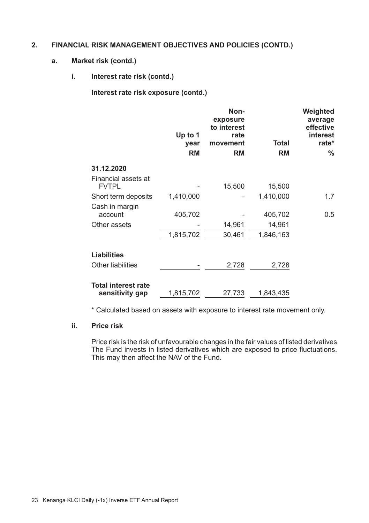#### **a. Market risk (contd.)**

# **i. Interest rate risk (contd.)**

**Interest rate risk exposure (contd.)**

|                                               | Up to $1$<br>year | Non-<br>exposure<br>to interest<br>rate<br>movement | <b>Total</b> | Weighted<br>average<br>effective<br>interest<br>rate* |
|-----------------------------------------------|-------------------|-----------------------------------------------------|--------------|-------------------------------------------------------|
|                                               | <b>RM</b>         | <b>RM</b>                                           | <b>RM</b>    | %                                                     |
| 31.12.2020                                    |                   |                                                     |              |                                                       |
| Financial assets at<br><b>FVTPL</b>           |                   | 15,500                                              | 15,500       |                                                       |
| Short term deposits                           | 1,410,000         |                                                     | 1,410,000    | 1.7                                                   |
| Cash in margin<br>account                     | 405,702           |                                                     | 405,702      | 0.5                                                   |
| Other assets                                  |                   | 14,961                                              | 14,961       |                                                       |
|                                               | 1,815,702         | 30,461                                              | 1,846,163    |                                                       |
| <b>Liabilities</b>                            |                   |                                                     |              |                                                       |
| Other liabilities                             |                   | 2,728                                               | 2,728        |                                                       |
| <b>Total interest rate</b><br>sensitivity gap | 1,815,702         | 27,733                                              | 1,843,435    |                                                       |

\* Calculated based on assets with exposure to interest rate movement only.

# **ii. Price risk**

Price risk is the risk of unfavourable changes in the fair values of listed derivatives The Fund invests in listed derivatives which are exposed to price fluctuations. This may then affect the NAV of the Fund.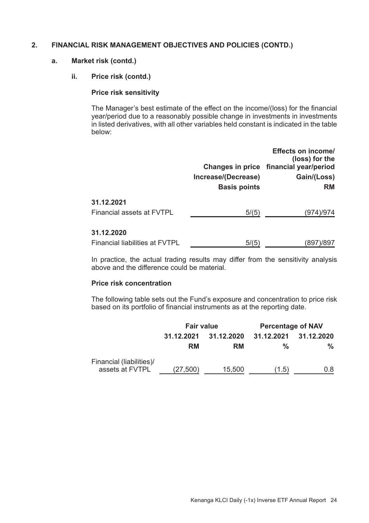# **a. Market risk (contd.)**

## **ii. Price risk (contd.)**

#### **Price risk sensitivity**

The Manager's best estimate of the effect on the income/(loss) for the financial year/period due to a reasonably possible change in investments in investments in listed derivatives, with all other variables held constant is indicated in the table below:

|                                              | Increase/(Decrease)<br><b>Basis points</b> | Effects on income/<br>(loss) for the<br>Changes in price financial year/period<br>Gain/(Loss)<br><b>RM</b> |
|----------------------------------------------|--------------------------------------------|------------------------------------------------------------------------------------------------------------|
| 31.12.2021<br>Financial assets at FVTPL      | 5/(5)                                      | (974)/974                                                                                                  |
| 31.12.2020<br>Financial liabilities at FVTPL | 5/(5)                                      | (897)/897                                                                                                  |

In practice, the actual trading results may differ from the sensitivity analysis above and the difference could be material.

# **Price risk concentration**

The following table sets out the Fund's exposure and concentration to price risk based on its portfolio of financial instruments as at the reporting date.

|                                             | <b>Fair value</b>        |        | <b>Percentage of NAV</b> |            |
|---------------------------------------------|--------------------------|--------|--------------------------|------------|
|                                             | 31.12.2020<br>31.12.2021 |        | 31.12.2021               | 31.12.2020 |
|                                             | RM                       | RM     | %                        | %          |
| Financial (liabilities)/<br>assets at FVTPL | (27,500)                 | 15,500 | (1.5)                    | 0.8        |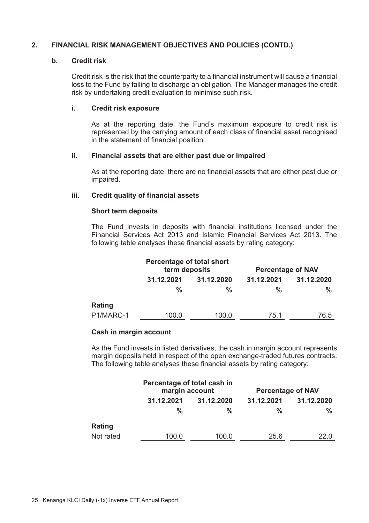#### **b. Credit risk**

Credit risk is the risk that the counterparty to a financial instrument will cause a financial loss to the Fund by failing to discharge an obligation. The Manager manages the credit risk by undertaking credit evaluation to minimise such risk.

#### **i. Credit risk exposure**

As at the reporting date, the Fund's maximum exposure to credit risk is represented by the carrying amount of each class of financial asset recognised in the statement of financial position.

#### **ii. Financial assets that are either past due or impaired**

As at the reporting date, there are no financial assets that are either past due or impaired.

#### **iii. Credit quality of financial assets**

#### **Short term deposits**

The Fund invests in deposits with financial institutions licensed under the Financial Services Act 2013 and Islamic Financial Services Act 2013. The following table analyses these financial assets by rating category:

|           | Percentage of total short<br>term deposits |            | <b>Percentage of NAV</b> |            |
|-----------|--------------------------------------------|------------|--------------------------|------------|
|           | 31.12.2021                                 | 31.12.2020 | 31.12.2021               | 31.12.2020 |
|           | %                                          | %          | %                        | %          |
| Rating    |                                            |            |                          |            |
| P1/MARC-1 | 100.0                                      | 100.0      | 75.1                     | 76.5       |

#### **Cash in margin account**

As the Fund invests in listed derivatives, the cash in margin account represents margin deposits held in respect of the open exchange-traded futures contracts. The following table analyses these financial assets by rating category:

|           | Percentage of total cash in<br>margin account |            | <b>Percentage of NAV</b> |            |
|-----------|-----------------------------------------------|------------|--------------------------|------------|
|           | 31.12.2021                                    | 31.12.2020 | 31.12.2021               | 31.12.2020 |
|           | %                                             | %          | %                        | %          |
| Rating    |                                               |            |                          |            |
| Not rated | 100.0                                         | 100.0      | 25.6                     | 22.0       |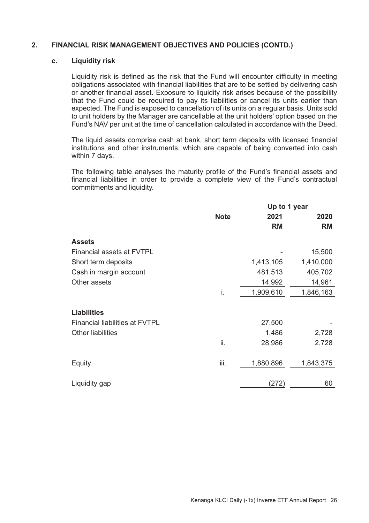#### **c. Liquidity risk**

Liquidity risk is defined as the risk that the Fund will encounter difficulty in meeting obligations associated with financial liabilities that are to be settled by delivering cash or another financial asset. Exposure to liquidity risk arises because of the possibility that the Fund could be required to pay its liabilities or cancel its units earlier than expected. The Fund is exposed to cancellation of its units on a regular basis. Units sold to unit holders by the Manager are cancellable at the unit holders' option based on the Fund's NAV per unit at the time of cancellation calculated in accordance with the Deed.

The liquid assets comprise cash at bank, short term deposits with licensed financial institutions and other instruments, which are capable of being converted into cash within 7 days.

The following table analyses the maturity profile of the Fund's financial assets and financial liabilities in order to provide a complete view of the Fund's contractual commitments and liquidity.

|                                       | Up to 1 year |           |           |
|---------------------------------------|--------------|-----------|-----------|
|                                       | <b>Note</b>  | 2021      | 2020      |
|                                       |              | RM        | <b>RM</b> |
| <b>Assets</b>                         |              |           |           |
| <b>Financial assets at FVTPL</b>      |              |           | 15,500    |
| Short term deposits                   |              | 1,413,105 | 1,410,000 |
| Cash in margin account                |              | 481,513   | 405,702   |
| Other assets                          |              | 14,992    | 14,961    |
|                                       | i.           | 1,909,610 | 1,846,163 |
| Liabilities                           |              |           |           |
| <b>Financial liabilities at FVTPL</b> |              | 27,500    |           |
| <b>Other liabilities</b>              |              | 1,486     | 2,728     |
|                                       | ii.          | 28,986    | 2,728     |
| Equity                                | iii.         | 1,880,896 | 1,843,375 |
| Liquidity gap                         |              | (272)     | 60        |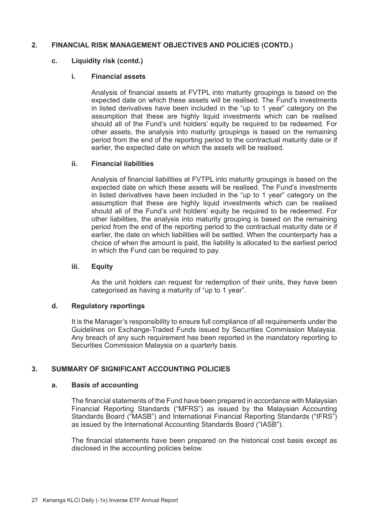#### **c. Liquidity risk (contd.)**

#### **i. Financial assets**

Analysis of financial assets at FVTPL into maturity groupings is based on the expected date on which these assets will be realised. The Fund's investments in listed derivatives have been included in the "up to 1 year" category on the assumption that these are highly liquid investments which can be realised should all of the Fund's unit holders' equity be required to be redeemed. For other assets, the analysis into maturity groupings is based on the remaining period from the end of the reporting period to the contractual maturity date or if earlier, the expected date on which the assets will be realised.

#### **ii. Financial liabilities**

Analysis of financial liabilities at FVTPL into maturity groupings is based on the expected date on which these assets will be realised. The Fund's investments in listed derivatives have been included in the "up to 1 year" category on the assumption that these are highly liquid investments which can be realised should all of the Fund's unit holders' equity be required to be redeemed. For other liabilities, the analysis into maturity grouping is based on the remaining period from the end of the reporting period to the contractual maturity date or if earlier, the date on which liabilities will be settled. When the counterparty has a choice of when the amount is paid, the liability is allocated to the earliest period in which the Fund can be required to pay.

#### **iii. Equity**

As the unit holders can request for redemption of their units, they have been categorised as having a maturity of "up to 1 year".

#### **d. Regulatory reportings**

It is the Manager's responsibility to ensure full compliance of all requirements under the Guidelines on Exchange-Traded Funds issued by Securities Commission Malaysia. Any breach of any such requirement has been reported in the mandatory reporting to Securities Commission Malaysia on a quarterly basis.

# **3. SUMMARY OF SIGNIFICANT ACCOUNTING POLICIES**

#### **a. Basis of accounting**

The financial statements of the Fund have been prepared in accordance with Malaysian Financial Reporting Standards ("MFRS") as issued by the Malaysian Accounting Standards Board ("MASB") and International Financial Reporting Standards ("IFRS") as issued by the International Accounting Standards Board ("IASB").

The financial statements have been prepared on the historical cost basis except as disclosed in the accounting policies below.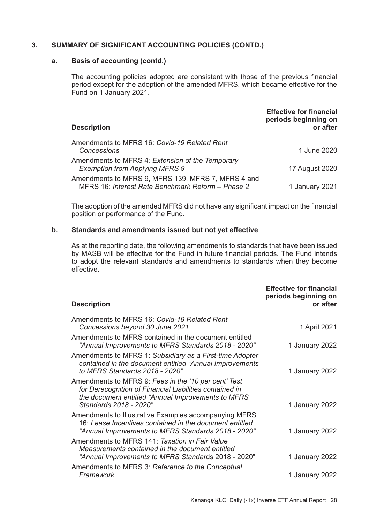#### **a. Basis of accounting (contd.)**

The accounting policies adopted are consistent with those of the previous financial period except for the adoption of the amended MFRS, which became effective for the Fund on 1 January 2021.

| <b>Description</b>                                                                                      | <b>Effective for financial</b><br>periods beginning on<br>or after |
|---------------------------------------------------------------------------------------------------------|--------------------------------------------------------------------|
| Amendments to MFRS 16: Covid-19 Related Rent<br>Concessions                                             | 1 June 2020                                                        |
| Amendments to MFRS 4: Extension of the Temporary<br><b>Exemption from Applying MFRS 9</b>               | 17 August 2020                                                     |
| Amendments to MFRS 9, MFRS 139, MFRS 7, MFRS 4 and<br>MFRS 16: Interest Rate Benchmark Reform - Phase 2 | 1 January 2021                                                     |

The adoption of the amended MFRS did not have any significant impact on the financial position or performance of the Fund.

#### **b. Standards and amendments issued but not yet effective**

As at the reporting date, the following amendments to standards that have been issued by MASB will be effective for the Fund in future financial periods. The Fund intends to adopt the relevant standards and amendments to standards when they become effective.

| <b>Description</b>                                                                                                                                                                              | <b>Effective for financial</b><br>periods beginning on<br>or after |
|-------------------------------------------------------------------------------------------------------------------------------------------------------------------------------------------------|--------------------------------------------------------------------|
| Amendments to MFRS 16: Covid-19 Related Rent<br>Concessions beyond 30 June 2021                                                                                                                 | 1 April 2021                                                       |
| Amendments to MFRS contained in the document entitled<br>"Annual Improvements to MFRS Standards 2018 - 2020"                                                                                    | 1 January 2022                                                     |
| Amendments to MFRS 1: Subsidiary as a First-time Adopter<br>contained in the document entitled "Annual Improvements"<br>to MFRS Standards 2018 - 2020"                                          | 1 January 2022                                                     |
| Amendments to MFRS 9: Fees in the '10 per cent' Test<br>for Derecognition of Financial Liabilities contained in<br>the document entitled "Annual Improvements to MFRS<br>Standards 2018 - 2020" | 1 January 2022                                                     |
| Amendments to Illustrative Examples accompanying MFRS<br>16: Lease Incentives contained in the document entitled<br>"Annual Improvements to MFRS Standards 2018 - 2020"                         | 1 January 2022                                                     |
| Amendments to MFRS 141: Taxation in Fair Value<br>Measurements contained in the document entitled<br>"Annual Improvements to MFRS Standards 2018 - 2020"                                        | 1 January 2022                                                     |
| Amendments to MFRS 3: Reference to the Conceptual<br>Framework                                                                                                                                  | 1 January 2022                                                     |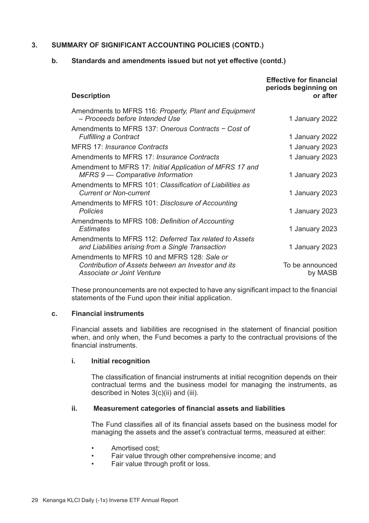#### **b. Standards and amendments issued but not yet effective (contd.)**

|                                                                                                                                 | <b>Effective for financial</b><br>periods beginning on |
|---------------------------------------------------------------------------------------------------------------------------------|--------------------------------------------------------|
| <b>Description</b>                                                                                                              | or after                                               |
| Amendments to MFRS 116: Property, Plant and Equipment<br>– Proceeds before Intended Use                                         | 1 January 2022                                         |
| Amendments to MFRS 137: Onerous Contracts - Cost of<br><b>Fulfilling a Contract</b>                                             | 1 January 2022                                         |
| MFRS 17: Insurance Contracts                                                                                                    | 1 January 2023                                         |
| Amendments to MFRS 17: Insurance Contracts                                                                                      | 1 January 2023                                         |
| Amendment to MFRS 17: Initial Application of MFRS 17 and<br>MFRS 9 - Comparative Information                                    | 1 January 2023                                         |
| Amendments to MFRS 101: Classification of Liabilities as<br><b>Current or Non-current</b>                                       | 1 January 2023                                         |
| Amendments to MFRS 101: Disclosure of Accounting<br>Policies                                                                    | 1 January 2023                                         |
| Amendments to MFRS 108: Definition of Accounting<br><b>Fstimates</b>                                                            | 1 January 2023                                         |
| Amendments to MFRS 112: Deferred Tax related to Assets<br>and Liabilities arising from a Single Transaction                     | 1 January 2023                                         |
| Amendments to MFRS 10 and MFRS 128: Sale or<br>Contribution of Assets between an Investor and its<br>Associate or Joint Venture | To be announced<br>by MASB                             |

These pronouncements are not expected to have any significant impact to the financial statements of the Fund upon their initial application.

#### **c. Financial instruments**

Financial assets and liabilities are recognised in the statement of financial position when, and only when, the Fund becomes a party to the contractual provisions of the financial instruments.

#### **i. Initial recognition**

The classification of financial instruments at initial recognition depends on their contractual terms and the business model for managing the instruments, as described in Notes 3(c)(ii) and (iii).

#### **ii. Measurement categories of financial assets and liabilities**

The Fund classifies all of its financial assets based on the business model for managing the assets and the asset's contractual terms, measured at either:

- Amortised cost:
- Fair value through other comprehensive income; and
- Fair value through profit or loss.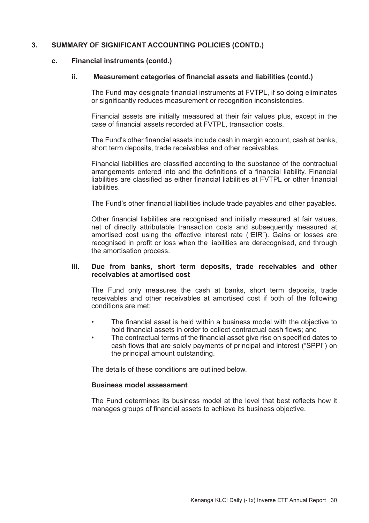#### **c. Financial instruments (contd.)**

#### **ii. Measurement categories of financial assets and liabilities (contd.)**

The Fund may designate financial instruments at FVTPL, if so doing eliminates or significantly reduces measurement or recognition inconsistencies

Financial assets are initially measured at their fair values plus, except in the case of financial assets recorded at FVTPL, transaction costs.

The Fund's other financial assets include cash in margin account, cash at banks, short term deposits, trade receivables and other receivables.

Financial liabilities are classified according to the substance of the contractual arrangements entered into and the definitions of a financial liability. Financial liabilities are classified as either financial liabilities at FVTPL or other financial liabilities.

The Fund's other financial liabilities include trade payables and other payables.

Other financial liabilities are recognised and initially measured at fair values, net of directly attributable transaction costs and subsequently measured at amortised cost using the effective interest rate ("EIR"). Gains or losses are recognised in profit or loss when the liabilities are derecognised, and through the amortisation process.

#### **iii. Due from banks, short term deposits, trade receivables and other receivables at amortised cost**

The Fund only measures the cash at banks, short term deposits, trade receivables and other receivables at amortised cost if both of the following conditions are met:

- The financial asset is held within a business model with the objective to hold financial assets in order to collect contractual cash flows; and
- The contractual terms of the financial asset give rise on specified dates to cash flows that are solely payments of principal and interest ("SPPI") on the principal amount outstanding.

The details of these conditions are outlined below.

# **Business model assessment**

The Fund determines its business model at the level that best reflects how it manages groups of financial assets to achieve its business objective.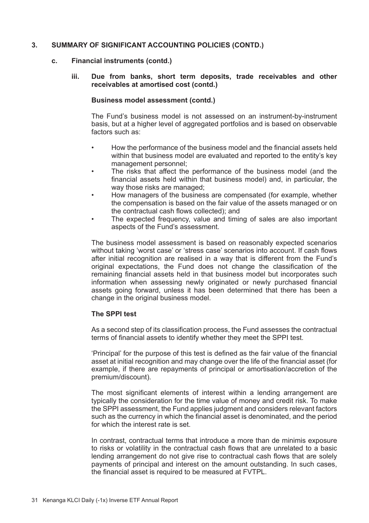#### **c. Financial instruments (contd.)**

**iii. Due from banks, short term deposits, trade receivables and other receivables at amortised cost (contd.)**

#### **Business model assessment (contd.)**

The Fund's business model is not assessed on an instrument-by-instrument basis, but at a higher level of aggregated portfolios and is based on observable factors such as:

- How the performance of the business model and the financial assets held within that business model are evaluated and reported to the entity's key management personnel;
- The risks that affect the performance of the business model (and the financial assets held within that business model) and, in particular, the way those risks are managed;
- How managers of the business are compensated (for example, whether the compensation is based on the fair value of the assets managed or on the contractual cash flows collected); and
- The expected frequency, value and timing of sales are also important aspects of the Fund's assessment.

The business model assessment is based on reasonably expected scenarios without taking 'worst case' or 'stress case' scenarios into account. If cash flows after initial recognition are realised in a way that is different from the Fund's original expectations, the Fund does not change the classification of the remaining financial assets held in that business model but incorporates such information when assessing newly originated or newly purchased financial assets going forward, unless it has been determined that there has been a change in the original business model.

#### **The SPPI test**

As a second step of its classification process, the Fund assesses the contractual terms of financial assets to identify whether they meet the SPPI test.

'Principal' for the purpose of this test is defined as the fair value of the financial asset at initial recognition and may change over the life of the financial asset (for example, if there are repayments of principal or amortisation/accretion of the premium/discount).

The most significant elements of interest within a lending arrangement are typically the consideration for the time value of money and credit risk. To make the SPPI assessment, the Fund applies judgment and considers relevant factors such as the currency in which the financial asset is denominated, and the period for which the interest rate is set.

In contrast, contractual terms that introduce a more than de minimis exposure to risks or volatility in the contractual cash flows that are unrelated to a basic lending arrangement do not give rise to contractual cash flows that are solely payments of principal and interest on the amount outstanding. In such cases, the financial asset is required to be measured at FVTPL.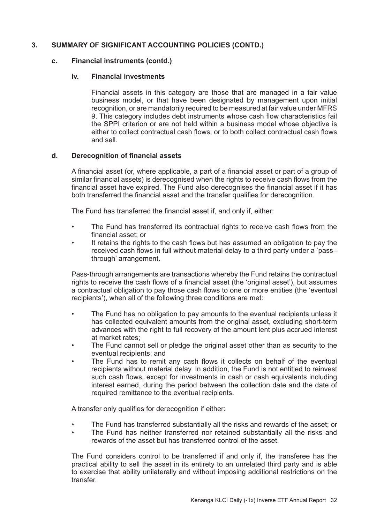#### **c. Financial instruments (contd.)**

#### **iv. Financial investments**

Financial assets in this category are those that are managed in a fair value business model, or that have been designated by management upon initial recognition, or are mandatorily required to be measured at fair value under MFRS 9. This category includes debt instruments whose cash flow characteristics fail the SPPI criterion or are not held within a business model whose objective is either to collect contractual cash flows, or to both collect contractual cash flows and sell.

#### **d. Derecognition of financial assets**

A financial asset (or, where applicable, a part of a financial asset or part of a group of similar financial assets) is derecognised when the rights to receive cash flows from the financial asset have expired. The Fund also derecognises the financial asset if it has both transferred the financial asset and the transfer qualifies for derecognition.

The Fund has transferred the financial asset if, and only if, either:

- The Fund has transferred its contractual rights to receive cash flows from the financial asset; or
- It retains the rights to the cash flows but has assumed an obligation to pay the received cash flows in full without material delay to a third party under a 'pass– through' arrangement.

Pass-through arrangements are transactions whereby the Fund retains the contractual rights to receive the cash flows of a financial asset (the 'original asset'), but assumes a contractual obligation to pay those cash flows to one or more entities (the 'eventual recipients'), when all of the following three conditions are met:

- The Fund has no obligation to pay amounts to the eventual recipients unless it has collected equivalent amounts from the original asset, excluding short-term advances with the right to full recovery of the amount lent plus accrued interest at market rates;
- The Fund cannot sell or pledge the original asset other than as security to the eventual recipients; and
- The Fund has to remit any cash flows it collects on behalf of the eventual recipients without material delay. In addition, the Fund is not entitled to reinvest such cash flows, except for investments in cash or cash equivalents including interest earned, during the period between the collection date and the date of required remittance to the eventual recipients.

A transfer only qualifies for derecognition if either:

- The Fund has transferred substantially all the risks and rewards of the asset; or
- The Fund has neither transferred nor retained substantially all the risks and rewards of the asset but has transferred control of the asset.

The Fund considers control to be transferred if and only if, the transferee has the practical ability to sell the asset in its entirety to an unrelated third party and is able to exercise that ability unilaterally and without imposing additional restrictions on the transfer.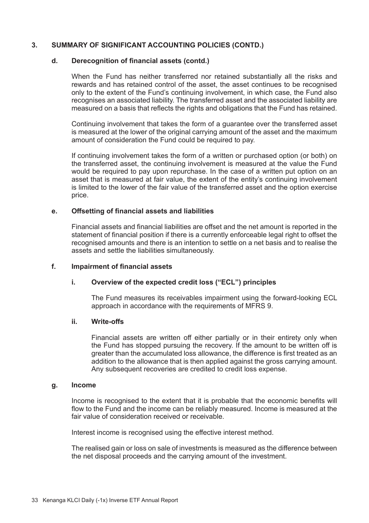#### **d. Derecognition of financial assets (contd.)**

When the Fund has neither transferred nor retained substantially all the risks and rewards and has retained control of the asset, the asset continues to be recognised only to the extent of the Fund's continuing involvement, in which case, the Fund also recognises an associated liability. The transferred asset and the associated liability are measured on a basis that reflects the rights and obligations that the Fund has retained.

Continuing involvement that takes the form of a guarantee over the transferred asset is measured at the lower of the original carrying amount of the asset and the maximum amount of consideration the Fund could be required to pay.

If continuing involvement takes the form of a written or purchased option (or both) on the transferred asset, the continuing involvement is measured at the value the Fund would be required to pay upon repurchase. In the case of a written put option on an asset that is measured at fair value, the extent of the entity's continuing involvement is limited to the lower of the fair value of the transferred asset and the option exercise price.

#### **e. Offsetting of financial assets and liabilities**

Financial assets and financial liabilities are offset and the net amount is reported in the statement of financial position if there is a currently enforceable legal right to offset the recognised amounts and there is an intention to settle on a net basis and to realise the assets and settle the liabilities simultaneously.

#### **f. Impairment of financial assets**

#### **i. Overview of the expected credit loss ("ECL") principles**

The Fund measures its receivables impairment using the forward-looking ECL approach in accordance with the requirements of MFRS 9.

#### **ii. Write-offs**

Financial assets are written off either partially or in their entirety only when the Fund has stopped pursuing the recovery. If the amount to be written off is greater than the accumulated loss allowance, the difference is first treated as an addition to the allowance that is then applied against the gross carrying amount. Any subsequent recoveries are credited to credit loss expense.

#### **g. Income**

Income is recognised to the extent that it is probable that the economic benefits will flow to the Fund and the income can be reliably measured. Income is measured at the fair value of consideration received or receivable.

Interest income is recognised using the effective interest method.

The realised gain or loss on sale of investments is measured as the difference between the net disposal proceeds and the carrying amount of the investment.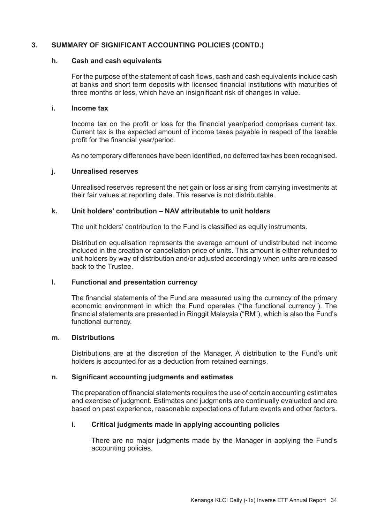#### **h. Cash and cash equivalents**

For the purpose of the statement of cash flows, cash and cash equivalents include cash at banks and short term deposits with licensed financial institutions with maturities of three months or less, which have an insignificant risk of changes in value.

#### **i. Income tax**

Income tax on the profit or loss for the financial year/period comprises current tax. Current tax is the expected amount of income taxes payable in respect of the taxable profit for the financial year/period.

As no temporary differences have been identified, no deferred tax has been recognised.

#### **j. Unrealised reserves**

Unrealised reserves represent the net gain or loss arising from carrying investments at their fair values at reporting date. This reserve is not distributable.

#### **k. Unit holders' contribution – NAV attributable to unit holders**

The unit holders' contribution to the Fund is classified as equity instruments.

Distribution equalisation represents the average amount of undistributed net income included in the creation or cancellation price of units. This amount is either refunded to unit holders by way of distribution and/or adjusted accordingly when units are released back to the Trustee.

#### **l. Functional and presentation currency**

The financial statements of the Fund are measured using the currency of the primary economic environment in which the Fund operates ("the functional currency"). The financial statements are presented in Ringgit Malaysia ("RM"), which is also the Fund's functional currency.

#### **m. Distributions**

Distributions are at the discretion of the Manager. A distribution to the Fund's unit holders is accounted for as a deduction from retained earnings.

## **n. Significant accounting judgments and estimates**

The preparation of financial statements requires the use of certain accounting estimates and exercise of judgment. Estimates and judgments are continually evaluated and are based on past experience, reasonable expectations of future events and other factors.

#### **i. Critical judgments made in applying accounting policies**

There are no major judgments made by the Manager in applying the Fund's accounting policies.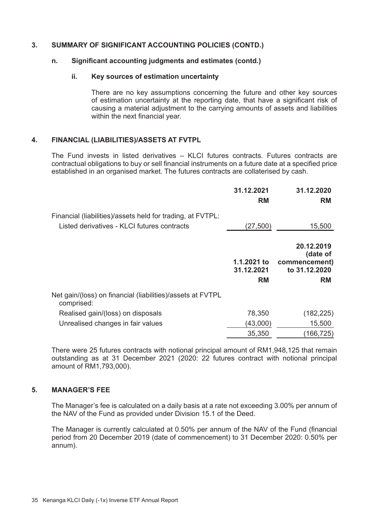#### **n. Significant accounting judgments and estimates (contd.)**

#### **ii. Key sources of estimation uncertainty**

There are no key assumptions concerning the future and other key sources of estimation uncertainty at the reporting date, that have a significant risk of causing a material adjustment to the carrying amounts of assets and liabilities within the next financial year.

#### **4. FINANCIAL (LIABILITIES)/ASSETS AT FVTPL**

The Fund invests in listed derivatives – KLCI futures contracts. Futures contracts are contractual obligations to buy or sell financial instruments on a future date at a specified price established in an organised market. The futures contracts are collaterised by cash.

|                                                                          | 31.12.2021<br><b>RM</b>                | 31.12.2020<br><b>RM</b>                                        |
|--------------------------------------------------------------------------|----------------------------------------|----------------------------------------------------------------|
| Financial (liabilities)/assets held for trading, at FVTPL:               |                                        |                                                                |
| Listed derivatives - KLCI futures contracts                              | (27, 500)                              | 15,500                                                         |
|                                                                          | 1.1.2021 to<br>31.12.2021<br><b>RM</b> | 20.12.2019<br>(date of<br>commencement)<br>to 31.12.2020<br>RM |
| Net gain/(loss) on financial (liabilities)/assets at FVTPL<br>comprised: |                                        |                                                                |
| Realised gain/(loss) on disposals                                        | 78,350                                 | (182, 225)                                                     |
| Unrealised changes in fair values                                        | (43.000)                               | 15.500                                                         |
|                                                                          | 35.350                                 | (166,725)                                                      |

There were 25 futures contracts with notional principal amount of RM1,948,125 that remain outstanding as at 31 December 2021 (2020: 22 futures contract with notional principal amount of RM1,793,000).

# **5. MANAGER'S FEE**

The Manager's fee is calculated on a daily basis at a rate not exceeding 3.00% per annum of the NAV of the Fund as provided under Division 15.1 of the Deed.

The Manager is currently calculated at 0.50% per annum of the NAV of the Fund (financial period from 20 December 2019 (date of commencement) to 31 December 2020: 0.50% per annum).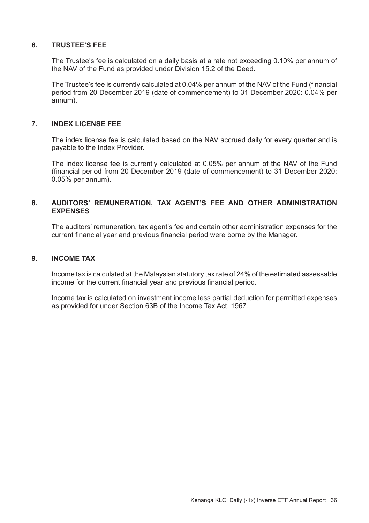# **6. TRUSTEE'S FEE**

The Trustee's fee is calculated on a daily basis at a rate not exceeding 0.10% per annum of the NAV of the Fund as provided under Division 15.2 of the Deed.

The Trustee's fee is currently calculated at 0.04% per annum of the NAV of the Fund (financial period from 20 December 2019 (date of commencement) to 31 December 2020: 0.04% per annum).

#### **7. INDEX LICENSE FEE**

The index license fee is calculated based on the NAV accrued daily for every quarter and is payable to the Index Provider.

The index license fee is currently calculated at 0.05% per annum of the NAV of the Fund (financial period from 20 December 2019 (date of commencement) to 31 December 2020: 0.05% per annum).

#### **8. AUDITORS' REMUNERATION, TAX AGENT'S FEE AND OTHER ADMINISTRATION EXPENSES**

The auditors' remuneration, tax agent's fee and certain other administration expenses for the current financial year and previous financial period were borne by the Manager.

#### **9. INCOME TAX**

Income tax is calculated at the Malaysian statutory tax rate of 24% of the estimated assessable income for the current financial year and previous financial period.

Income tax is calculated on investment income less partial deduction for permitted expenses as provided for under Section 63B of the Income Tax Act, 1967.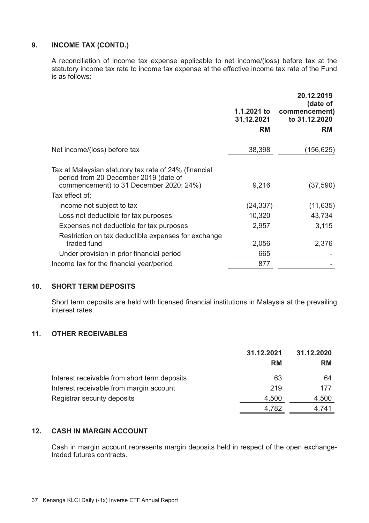# **9. INCOME TAX (CONTD.)**

A reconciliation of income tax expense applicable to net income/(loss) before tax at the statutory income tax rate to income tax expense at the effective income tax rate of the Fund is as follows:

|                                                                                                                                           | 1.1.2021 to             | 20.12.2019<br>(date of<br>commencement) |
|-------------------------------------------------------------------------------------------------------------------------------------------|-------------------------|-----------------------------------------|
|                                                                                                                                           | 31.12.2021<br><b>RM</b> | to 31.12.2020<br>RM                     |
| Net income/(loss) before tax                                                                                                              | 38,398                  | (156, 625)                              |
| Tax at Malaysian statutory tax rate of 24% (financial<br>period from 20 December 2019 (date of<br>commencement) to 31 December 2020: 24%) | 9,216                   | (37, 590)                               |
| Tax effect of:                                                                                                                            |                         |                                         |
| Income not subject to tax                                                                                                                 | (24, 337)               | (11, 635)                               |
| Loss not deductible for tax purposes                                                                                                      | 10,320                  | 43,734                                  |
| Expenses not deductible for tax purposes                                                                                                  | 2,957                   | 3,115                                   |
| Restriction on tax deductible expenses for exchange<br>traded fund                                                                        | 2,056                   | 2,376                                   |
| Under provision in prior financial period                                                                                                 | 665                     |                                         |
| Income tax for the financial year/period                                                                                                  | 877                     |                                         |

#### **10. SHORT TERM DEPOSITS**

Short term deposits are held with licensed financial institutions in Malaysia at the prevailing interest rates.

# **11. OTHER RECEIVABLES**

|                                              | 31.12.2021 | 31.12.2020 |  |
|----------------------------------------------|------------|------------|--|
|                                              | RM         | <b>RM</b>  |  |
| Interest receivable from short term deposits | 63         | 64         |  |
| Interest receivable from margin account      | 219        | 177        |  |
| Registrar security deposits                  | 4.500      | 4,500      |  |
|                                              | 4.782      | 4.741      |  |

#### **12. CASH IN MARGIN ACCOUNT**

Cash in margin account represents margin deposits held in respect of the open exchangetraded futures contracts.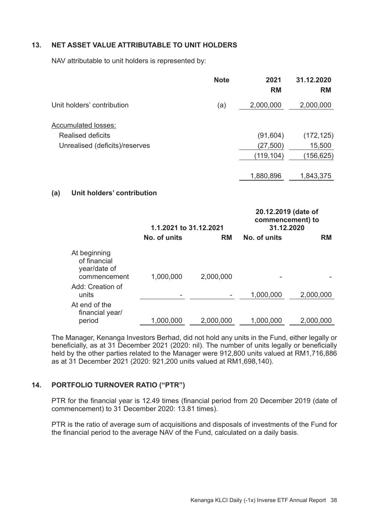# **13. NET ASSET VALUE ATTRIBUTABLE TO UNIT HOLDERS**

NAV attributable to unit holders is represented by:

|                                | <b>Note</b> | 2021<br><b>RM</b> | 31.12.2020<br><b>RM</b> |
|--------------------------------|-------------|-------------------|-------------------------|
| Unit holders' contribution     | (a)         | 2,000,000         | 2,000,000               |
| Accumulated losses:            |             |                   |                         |
| <b>Realised deficits</b>       |             | (91, 604)         | (172, 125)              |
| Unrealised (deficits)/reserves |             | (27, 500)         | 15,500                  |
|                                |             | (119, 104)        | (156,625)               |
|                                |             | 1,880,896         | 1,843,375               |
|                                |             |                   |                         |

# **(a) Unit holders' contribution**

|                                                              | 1.1.2021 to 31.12.2021 |           | 20.12.2019 (date of<br>commencement) to<br>31.12.2020 |           |
|--------------------------------------------------------------|------------------------|-----------|-------------------------------------------------------|-----------|
|                                                              | No. of units           | <b>RM</b> | No. of units                                          | <b>RM</b> |
| At beginning<br>of financial<br>year/date of<br>commencement | 1,000,000              | 2,000,000 |                                                       |           |
| Add: Creation of<br>units                                    |                        |           | 1,000,000                                             | 2,000,000 |
| At end of the<br>financial year/<br>period                   | 1.000.000              | 2.000.000 | 1.000.000                                             | 2.000.000 |

The Manager, Kenanga Investors Berhad, did not hold any units in the Fund, either legally or beneficially, as at 31 December 2021 (2020: nil). The number of units legally or beneficially held by the other parties related to the Manager were 912,800 units valued at RM1,716,886 as at 31 December 2021 (2020: 921,200 units valued at RM1,698,140).

#### **14. PORTFOLIO TURNOVER RATIO ("PTR")**

PTR for the financial year is 12.49 times (financial period from 20 December 2019 (date of commencement) to 31 December 2020: 13.81 times).

PTR is the ratio of average sum of acquisitions and disposals of investments of the Fund for the financial period to the average NAV of the Fund, calculated on a daily basis.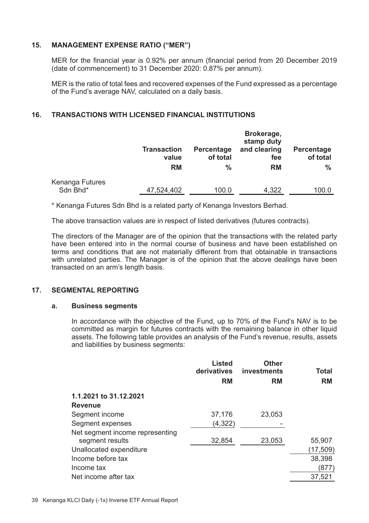#### **15. MANAGEMENT EXPENSE RATIO ("MER")**

MER for the financial year is 0.92% per annum (financial period from 20 December 2019 (date of commencement) to 31 December 2020: 0.87% per annum).

MER is the ratio of total fees and recovered expenses of the Fund expressed as a percentage of the Fund's average NAV, calculated on a daily basis.

# **16. TRANSACTIONS WITH LICENSED FINANCIAL INSTITUTIONS**

|                             | Transaction<br>value | Percentage<br>of total | Brokerage,<br>stamp duty<br>and clearing<br>fee | Percentage<br>of total |
|-----------------------------|----------------------|------------------------|-------------------------------------------------|------------------------|
|                             | <b>RM</b>            | %                      | <b>RM</b>                                       | ℅                      |
| Kenanga Futures<br>Sdn Bhd* | 47,524,402           | 100.0                  | 4.322                                           | 100.0                  |

\* Kenanga Futures Sdn Bhd is a related party of Kenanga Investors Berhad.

The above transaction values are in respect of listed derivatives (futures contracts).

The directors of the Manager are of the opinion that the transactions with the related party have been entered into in the normal course of business and have been established on terms and conditions that are not materially different from that obtainable in transactions with unrelated parties. The Manager is of the opinion that the above dealings have been transacted on an arm's length basis.

#### **17. SEGMENTAL REPORTING**

#### **a. Business segments**

In accordance with the objective of the Fund, up to 70% of the Fund's NAV is to be committed as margin for futures contracts with the remaining balance in other liquid assets. The following table provides an analysis of the Fund's revenue, results, assets and liabilities by business segments:

|                                 | Listed<br>derivatives<br><b>RM</b> | Other<br>investments<br><b>RM</b> | Total<br><b>RM</b> |
|---------------------------------|------------------------------------|-----------------------------------|--------------------|
| 1.1.2021 to 31.12.2021          |                                    |                                   |                    |
| Revenue                         |                                    |                                   |                    |
| Segment income                  | 37,176                             | 23,053                            |                    |
| Segment expenses                | (4,322)                            |                                   |                    |
| Net segment income representing |                                    |                                   |                    |
| segment results                 | 32.854                             | 23.053                            | 55,907             |
| Unallocated expenditure         |                                    |                                   | (17, 509)          |
| Income before tax               |                                    |                                   | 38,398             |
| Income tax                      |                                    |                                   | (877)              |
| Net income after tax            |                                    |                                   | 37,521             |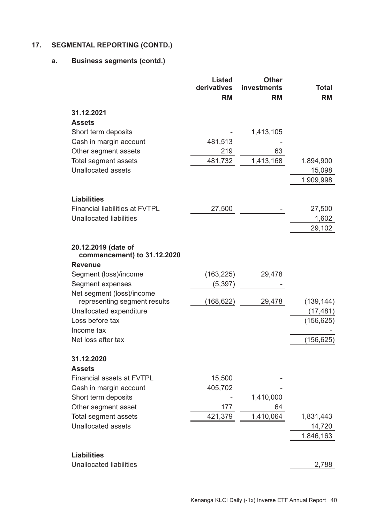# **17. SEGMENTAL REPORTING (CONTD.)**

# **a. Business segments (contd.)**

|                                                    | Listed            | <b>Other</b>      |                    |
|----------------------------------------------------|-------------------|-------------------|--------------------|
|                                                    | derivatives<br>RM | investments<br>RM | Total<br><b>RM</b> |
|                                                    |                   |                   |                    |
| 31.12.2021                                         |                   |                   |                    |
| <b>Assets</b>                                      |                   |                   |                    |
| Short term deposits                                |                   | 1,413,105         |                    |
| Cash in margin account                             | 481,513           |                   |                    |
| Other segment assets                               | 219               | 63                |                    |
| Total segment assets                               | 481,732           | 1,413,168         | 1,894,900          |
| Unallocated assets                                 |                   |                   | 15,098             |
|                                                    |                   |                   | 1,909,998          |
| Liabilities                                        |                   |                   |                    |
| <b>Financial liabilities at FVTPL</b>              | 27,500            |                   | 27,500             |
| Unallocated liabilities                            |                   |                   | 1,602              |
|                                                    |                   |                   | 29,102             |
|                                                    |                   |                   |                    |
| 20.12.2019 (date of<br>commencement) to 31.12.2020 |                   |                   |                    |
| <b>Revenue</b>                                     |                   |                   |                    |
| Segment (loss)/income                              | (163, 225)        | 29,478            |                    |
| Segment expenses                                   | (5, 397)          |                   |                    |
| Net segment (loss)/income                          |                   |                   |                    |
| representing segment results                       | (168, 622)        | 29,478            | (139, 144)         |
| Unallocated expenditure                            |                   |                   | (17, 481)          |
| Loss before tax                                    |                   |                   | (156, 625)         |
| Income tax                                         |                   |                   |                    |
| Net loss after tax                                 |                   |                   | (156, 625)         |
| 31.12.2020                                         |                   |                   |                    |
| <b>Assets</b>                                      |                   |                   |                    |
| <b>Financial assets at FVTPL</b>                   | 15,500            |                   |                    |
| Cash in margin account                             | 405,702           |                   |                    |
| Short term deposits                                |                   | 1,410,000         |                    |
| Other segment asset                                | 177               | 64                |                    |
| Total segment assets                               | 421,379           | 1,410,064         | 1,831,443          |
| Unallocated assets                                 |                   |                   | 14,720             |
|                                                    |                   |                   | 1,846,163          |
| Liabilities                                        |                   |                   |                    |
| <b>Unallocated liabilities</b>                     |                   |                   | 2,788              |
|                                                    |                   |                   |                    |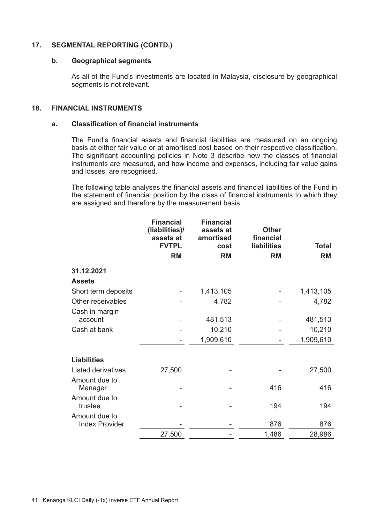## **17. SEGMENTAL REPORTING (CONTD.)**

#### **b. Geographical segments**

As all of the Fund's investments are located in Malaysia, disclosure by geographical segments is not relevant.

# **18. FINANCIAL INSTRUMENTS**

#### **a. Classification of financial instruments**

The Fund's financial assets and financial liabilities are measured on an ongoing basis at either fair value or at amortised cost based on their respective classification. The significant accounting policies in Note 3 describe how the classes of financial instruments are measured, and how income and expenses, including fair value gains and losses, are recognised.

The following table analyses the financial assets and financial liabilities of the Fund in the statement of financial position by the class of financial instruments to which they are assigned and therefore by the measurement basis.

|                                        | <b>Financial</b><br>(liabilities)/<br>assets at<br><b>FVTPL</b> | <b>Financial</b><br>assets at<br>amortised<br>cost | <b>Other</b><br>financial<br>liabilities | <b>Total</b> |
|----------------------------------------|-----------------------------------------------------------------|----------------------------------------------------|------------------------------------------|--------------|
|                                        | <b>RM</b>                                                       | <b>RM</b>                                          | <b>RM</b>                                | <b>RM</b>    |
| 31.12.2021                             |                                                                 |                                                    |                                          |              |
| <b>Assets</b>                          |                                                                 |                                                    |                                          |              |
| Short term deposits                    |                                                                 | 1,413,105                                          |                                          | 1,413,105    |
| Other receivables                      |                                                                 | 4,782                                              |                                          | 4,782        |
| Cash in margin<br>account              |                                                                 | 481,513                                            |                                          | 481,513      |
| Cash at bank                           |                                                                 | 10,210                                             |                                          | 10,210       |
|                                        |                                                                 | 1,909,610                                          |                                          | 1,909,610    |
| Liabilities                            |                                                                 |                                                    |                                          |              |
| Listed derivatives                     | 27,500                                                          |                                                    |                                          | 27,500       |
| Amount due to<br>Manager               |                                                                 |                                                    | 416                                      | 416          |
| Amount due to<br>trustee               |                                                                 |                                                    | 194                                      | 194          |
| Amount due to<br><b>Index Provider</b> |                                                                 |                                                    | 876                                      | 876          |
|                                        | 27,500                                                          |                                                    | 1,486                                    | 28,986       |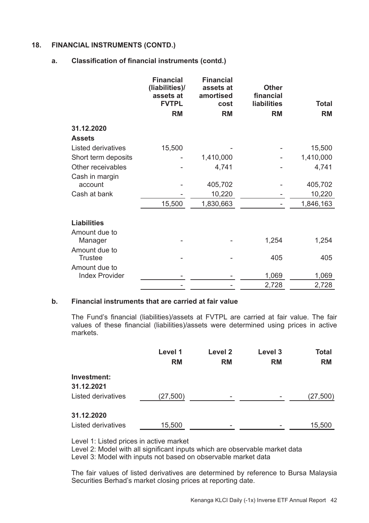# **18. FINANCIAL INSTRUMENTS (CONTD.)**

#### **a. Classification of financial instruments (contd.)**

|                                 | <b>Financial</b><br>(liabilities)/<br>assets at<br><b>FVTPL</b> | <b>Financial</b><br>assets at<br>amortised<br>cost | <b>Other</b><br>financial<br><b>liabilities</b> | <b>Total</b> |
|---------------------------------|-----------------------------------------------------------------|----------------------------------------------------|-------------------------------------------------|--------------|
|                                 | <b>RM</b>                                                       | <b>RM</b>                                          | <b>RM</b>                                       | <b>RM</b>    |
| 31.12.2020                      |                                                                 |                                                    |                                                 |              |
| <b>Assets</b>                   |                                                                 |                                                    |                                                 |              |
| Listed derivatives              | 15,500                                                          |                                                    |                                                 | 15,500       |
| Short term deposits             |                                                                 | 1,410,000                                          |                                                 | 1,410,000    |
| Other receivables               |                                                                 | 4,741                                              |                                                 | 4,741        |
| Cash in margin                  |                                                                 |                                                    |                                                 |              |
| account                         |                                                                 | 405,702                                            |                                                 | 405,702      |
| Cash at bank                    |                                                                 | 10,220                                             |                                                 | 10,220       |
|                                 | 15,500                                                          | 1,830,663                                          |                                                 | 1,846,163    |
|                                 |                                                                 |                                                    |                                                 |              |
| <b>Liabilities</b>              |                                                                 |                                                    |                                                 |              |
| Amount due to<br>Manager        |                                                                 |                                                    | 1,254                                           | 1,254        |
| Amount due to<br><b>Trustee</b> |                                                                 |                                                    | 405                                             | 405          |
| Amount due to                   |                                                                 |                                                    |                                                 |              |
| <b>Index Provider</b>           |                                                                 |                                                    | 1,069                                           | 1,069        |
|                                 |                                                                 |                                                    | 2,728                                           | 2,728        |

# **b. Financial instruments that are carried at fair value**

The Fund's financial (liabilities)/assets at FVTPL are carried at fair value. The fair values of these financial (liabilities)/assets were determined using prices in active markets.

|                           | Level 1   | Level <sub>2</sub>       | Level 3   | <b>Total</b> |
|---------------------------|-----------|--------------------------|-----------|--------------|
|                           | <b>RM</b> | <b>RM</b>                | <b>RM</b> | <b>RM</b>    |
| Investment:<br>31.12.2021 |           |                          |           |              |
| Listed derivatives        | (27, 500) |                          |           | (27, 500)    |
| 31.12.2020                |           |                          |           |              |
| Listed derivatives        | 15,500    | $\overline{\phantom{0}}$ |           | 15,500       |

Level 1: Listed prices in active market

Level 2: Model with all significant inputs which are observable market data Level 3: Model with inputs not based on observable market data

The fair values of listed derivatives are determined by reference to Bursa Malaysia Securities Berhad's market closing prices at reporting date.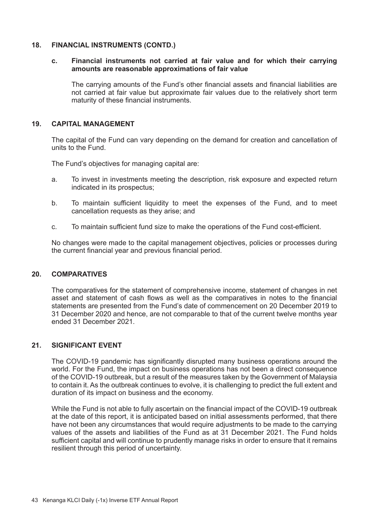#### **18. FINANCIAL INSTRUMENTS (CONTD.)**

#### **c. Financial instruments not carried at fair value and for which their carrying amounts are reasonable approximations of fair value**

The carrying amounts of the Fund's other financial assets and financial liabilities are not carried at fair value but approximate fair values due to the relatively short term maturity of these financial instruments.

#### **19. CAPITAL MANAGEMENT**

The capital of the Fund can vary depending on the demand for creation and cancellation of units to the Fund.

The Fund's objectives for managing capital are:

- a. To invest in investments meeting the description, risk exposure and expected return indicated in its prospectus;
- b. To maintain sufficient liquidity to meet the expenses of the Fund, and to meet cancellation requests as they arise; and
- c. To maintain sufficient fund size to make the operations of the Fund cost-efficient.

No changes were made to the capital management objectives, policies or processes during the current financial year and previous financial period.

#### **20. COMPARATIVES**

The comparatives for the statement of comprehensive income, statement of changes in net asset and statement of cash flows as well as the comparatives in notes to the financial statements are presented from the Fund's date of commencement on 20 December 2019 to 31 December 2020 and hence, are not comparable to that of the current twelve months year ended 31 December 2021.

#### **21. SIGNIFICANT EVENT**

The COVID-19 pandemic has significantly disrupted many business operations around the world. For the Fund, the impact on business operations has not been a direct consequence of the COVID-19 outbreak, but a result of the measures taken by the Government of Malaysia to contain it. As the outbreak continues to evolve, it is challenging to predict the full extent and duration of its impact on business and the economy.

While the Fund is not able to fully ascertain on the financial impact of the COVID-19 outbreak at the date of this report, it is anticipated based on initial assessments performed, that there have not been any circumstances that would require adjustments to be made to the carrying values of the assets and liabilities of the Fund as at 31 December 2021. The Fund holds sufficient capital and will continue to prudently manage risks in order to ensure that it remains resilient through this period of uncertainty.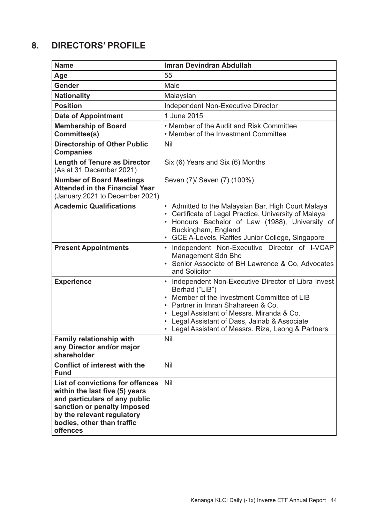# **8. DIRECTORS' PROFILE**

| <b>Name</b>                                                                                                                                                                                                | Imran Devindran Abdullah                                                                                                                                                                                                                                                                                          |
|------------------------------------------------------------------------------------------------------------------------------------------------------------------------------------------------------------|-------------------------------------------------------------------------------------------------------------------------------------------------------------------------------------------------------------------------------------------------------------------------------------------------------------------|
| Age                                                                                                                                                                                                        | 55                                                                                                                                                                                                                                                                                                                |
| Gender                                                                                                                                                                                                     | Male                                                                                                                                                                                                                                                                                                              |
| Nationality                                                                                                                                                                                                | Malaysian                                                                                                                                                                                                                                                                                                         |
| <b>Position</b>                                                                                                                                                                                            | Independent Non-Executive Director                                                                                                                                                                                                                                                                                |
| <b>Date of Appointment</b>                                                                                                                                                                                 | 1 June 2015                                                                                                                                                                                                                                                                                                       |
| <b>Membership of Board</b><br>Committee(s)                                                                                                                                                                 | • Member of the Audit and Risk Committee<br>• Member of the Investment Committee                                                                                                                                                                                                                                  |
| <b>Directorship of Other Public</b><br>Companies                                                                                                                                                           | Nil                                                                                                                                                                                                                                                                                                               |
| <b>Length of Tenure as Director</b><br>(As at 31 December 2021)                                                                                                                                            | Six (6) Years and Six (6) Months                                                                                                                                                                                                                                                                                  |
| <b>Number of Board Meetings</b><br><b>Attended in the Financial Year</b><br>(January 2021 to December 2021)                                                                                                | Seven (7)/ Seven (7) (100%)                                                                                                                                                                                                                                                                                       |
| <b>Academic Qualifications</b>                                                                                                                                                                             | • Admitted to the Malaysian Bar, High Court Malaya<br>• Certificate of Legal Practice, University of Malaya<br>• Honours Bachelor of Law (1988), University of<br>Buckingham, England<br>• GCE A-Levels, Raffles Junior College, Singapore                                                                        |
| <b>Present Appointments</b>                                                                                                                                                                                | Independent Non-Executive Director of I-VCAP<br>Management Sdn Bhd<br>• Senior Associate of BH Lawrence & Co, Advocates<br>and Solicitor                                                                                                                                                                          |
| <b>Experience</b>                                                                                                                                                                                          | • Independent Non-Executive Director of Libra Invest<br>Berhad ("LIB")<br>• Member of the Investment Committee of LIB<br>• Partner in Imran Shahareen & Co.<br>• Legal Assistant of Messrs. Miranda & Co.<br>• Legal Assistant of Dass, Jainab & Associate<br>• Legal Assistant of Messrs. Riza, Leong & Partners |
| Family relationship with<br>any Director and/or major<br>shareholder                                                                                                                                       | Nil                                                                                                                                                                                                                                                                                                               |
| Conflict of interest with the<br><b>Fund</b>                                                                                                                                                               | Nil                                                                                                                                                                                                                                                                                                               |
| List of convictions for offences<br>within the last five (5) years<br>and particulars of any public<br>sanction or penalty imposed<br>by the relevant regulatory<br>bodies, other than traffic<br>offences | Nil                                                                                                                                                                                                                                                                                                               |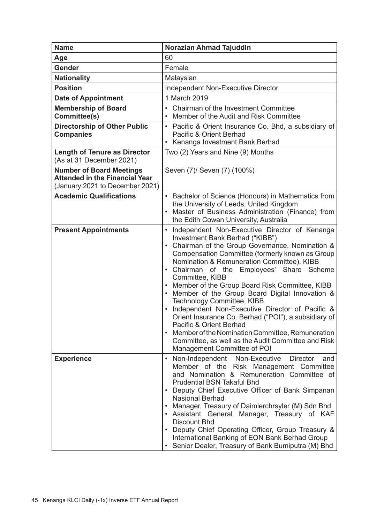| <b>Name</b>                                                                                                 | Norazian Ahmad Tajuddin                                                                                                                                                                                                                                                                                                                                                                                                                                                                                                                                                                                                                                                                                                    |
|-------------------------------------------------------------------------------------------------------------|----------------------------------------------------------------------------------------------------------------------------------------------------------------------------------------------------------------------------------------------------------------------------------------------------------------------------------------------------------------------------------------------------------------------------------------------------------------------------------------------------------------------------------------------------------------------------------------------------------------------------------------------------------------------------------------------------------------------------|
| Age                                                                                                         | 60                                                                                                                                                                                                                                                                                                                                                                                                                                                                                                                                                                                                                                                                                                                         |
| Gender                                                                                                      | Female                                                                                                                                                                                                                                                                                                                                                                                                                                                                                                                                                                                                                                                                                                                     |
| <b>Nationality</b>                                                                                          | Malaysian                                                                                                                                                                                                                                                                                                                                                                                                                                                                                                                                                                                                                                                                                                                  |
| <b>Position</b>                                                                                             | Independent Non-Executive Director                                                                                                                                                                                                                                                                                                                                                                                                                                                                                                                                                                                                                                                                                         |
| <b>Date of Appointment</b>                                                                                  | 1 March 2019                                                                                                                                                                                                                                                                                                                                                                                                                                                                                                                                                                                                                                                                                                               |
| <b>Membership of Board</b><br>Committee(s)                                                                  | • Chairman of the Investment Committee<br>Member of the Audit and Risk Committee                                                                                                                                                                                                                                                                                                                                                                                                                                                                                                                                                                                                                                           |
| Directorship of Other Public<br><b>Companies</b>                                                            | Pacific & Orient Insurance Co. Bhd, a subsidiary of<br>Pacific & Orient Berhad<br>• Kenanga Investment Bank Berhad                                                                                                                                                                                                                                                                                                                                                                                                                                                                                                                                                                                                         |
| <b>Length of Tenure as Director</b><br>(As at 31 December 2021)                                             | Two (2) Years and Nine (9) Months                                                                                                                                                                                                                                                                                                                                                                                                                                                                                                                                                                                                                                                                                          |
| <b>Number of Board Meetings</b><br><b>Attended in the Financial Year</b><br>(January 2021 to December 2021) | Seven (7)/ Seven (7) (100%)                                                                                                                                                                                                                                                                                                                                                                                                                                                                                                                                                                                                                                                                                                |
| <b>Academic Qualifications</b>                                                                              | • Bachelor of Science (Honours) in Mathematics from<br>the University of Leeds, United Kingdom<br>Master of Business Administration (Finance) from<br>the Edith Cowan University, Australia                                                                                                                                                                                                                                                                                                                                                                                                                                                                                                                                |
| <b>Present Appointments</b>                                                                                 | Independent Non-Executive Director of Kenanga<br>Investment Bank Berhad ("KIBB")<br>• Chairman of the Group Governance, Nomination &<br>Compensation Committee (formerly known as Group<br>Nomination & Remuneration Committee), KIBB<br>• Chairman of the Employees' Share Scheme<br>Committee, KIBB<br>• Member of the Group Board Risk Committee, KIBB<br>• Member of the Group Board Digital Innovation &<br>Technology Committee, KIBB<br>Independent Non-Executive Director of Pacific &<br>Orient Insurance Co. Berhad ("POI"), a subsidiary of<br>Pacific & Orient Berhad<br>Member of the Nomination Committee, Remuneration<br>Committee, as well as the Audit Committee and Risk<br>Management Committee of POI |
| <b>Experience</b>                                                                                           | Non-Executive<br>Director<br>Non-Independent<br>and<br>Member of the Risk Management Committee<br>and Nomination & Remuneration Committee of<br><b>Prudential BSN Takaful Bhd</b><br>• Deputy Chief Executive Officer of Bank Simpanan<br><b>Nasional Berhad</b><br>• Manager, Treasury of Daimlerchrsyler (M) Sdn Bhd<br>· Assistant General Manager, Treasury of KAF<br><b>Discount Bhd</b><br>• Deputy Chief Operating Officer, Group Treasury &<br>International Banking of EON Bank Berhad Group<br>• Senior Dealer, Treasury of Bank Bumiputra (M) Bhd                                                                                                                                                               |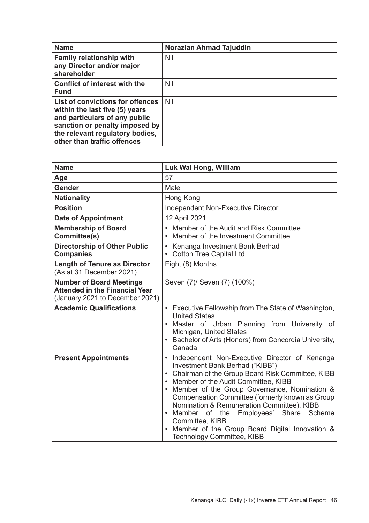| Name                                                                                                                                                                                                    | Norazian Ahmad Tajuddin |
|---------------------------------------------------------------------------------------------------------------------------------------------------------------------------------------------------------|-------------------------|
| <b>Family relationship with</b><br>any Director and/or major<br>shareholder                                                                                                                             | Nil                     |
| Conflict of interest with the<br><b>Fund</b>                                                                                                                                                            | Nil                     |
| List of convictions for offences<br>within the last five (5) years<br>and particulars of any public<br>sanction or penalty imposed by<br>the relevant regulatory bodies,<br>other than traffic offences | Nil                     |

| <b>Name</b>                                                                                                 | Luk Wai Hong, William                                                                                                                                                                                                                                                                                                                                                                                                                                                                |  |
|-------------------------------------------------------------------------------------------------------------|--------------------------------------------------------------------------------------------------------------------------------------------------------------------------------------------------------------------------------------------------------------------------------------------------------------------------------------------------------------------------------------------------------------------------------------------------------------------------------------|--|
| Age                                                                                                         | 57                                                                                                                                                                                                                                                                                                                                                                                                                                                                                   |  |
| Gender                                                                                                      | Male                                                                                                                                                                                                                                                                                                                                                                                                                                                                                 |  |
| <b>Nationality</b>                                                                                          | Hong Kong                                                                                                                                                                                                                                                                                                                                                                                                                                                                            |  |
| <b>Position</b>                                                                                             | Independent Non-Executive Director                                                                                                                                                                                                                                                                                                                                                                                                                                                   |  |
| <b>Date of Appointment</b>                                                                                  | 12 April 2021                                                                                                                                                                                                                                                                                                                                                                                                                                                                        |  |
| <b>Membership of Board</b><br>Committee(s)                                                                  | • Member of the Audit and Risk Committee<br>• Member of the Investment Committee                                                                                                                                                                                                                                                                                                                                                                                                     |  |
| <b>Directorship of Other Public</b><br><b>Companies</b>                                                     | Kenanga Investment Bank Berhad<br>Cotton Tree Capital Ltd.                                                                                                                                                                                                                                                                                                                                                                                                                           |  |
| <b>Length of Tenure as Director</b><br>(As at 31 December 2021)                                             | Eight (8) Months                                                                                                                                                                                                                                                                                                                                                                                                                                                                     |  |
| <b>Number of Board Meetings</b><br><b>Attended in the Financial Year</b><br>(January 2021 to December 2021) | Seven (7)/ Seven (7) (100%)                                                                                                                                                                                                                                                                                                                                                                                                                                                          |  |
| <b>Academic Qualifications</b>                                                                              | • Executive Fellowship from The State of Washington,<br><b>United States</b><br>• Master of Urban Planning from University of<br>Michigan, United States<br>• Bachelor of Arts (Honors) from Concordia University,<br>Canada                                                                                                                                                                                                                                                         |  |
| <b>Present Appointments</b>                                                                                 | Independent Non-Executive Director of Kenanga<br>Investment Bank Berhad ("KIBB")<br>• Chairman of the Group Board Risk Committee, KIBB<br>Member of the Audit Committee, KIBB<br>Member of the Group Governance, Nomination &<br>Compensation Committee (formerly known as Group<br>Nomination & Remuneration Committee), KIBB<br>• Member of the<br>Employees' Share<br>Scheme<br>Committee, KIBB<br>• Member of the Group Board Digital Innovation &<br>Technology Committee, KIBB |  |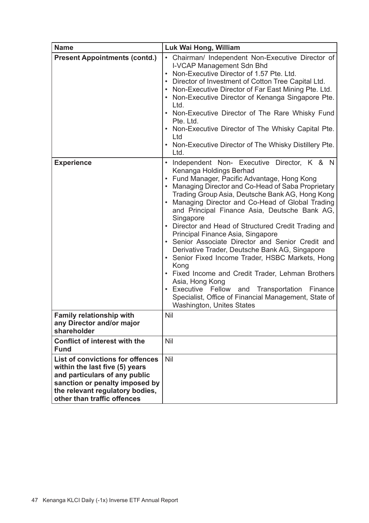| Name                                                                                                                                                                                                    | Luk Wai Hong, William                                                                                                                                                                                                                                                                                                                                                                                                                                                                                                                                                                                                                                                                                                                                                                                                              |  |
|---------------------------------------------------------------------------------------------------------------------------------------------------------------------------------------------------------|------------------------------------------------------------------------------------------------------------------------------------------------------------------------------------------------------------------------------------------------------------------------------------------------------------------------------------------------------------------------------------------------------------------------------------------------------------------------------------------------------------------------------------------------------------------------------------------------------------------------------------------------------------------------------------------------------------------------------------------------------------------------------------------------------------------------------------|--|
| <b>Present Appointments (contd.)</b>                                                                                                                                                                    | • Chairman/ Independent Non-Executive Director of<br>I-VCAP Management Sdn Bhd<br>• Non-Executive Director of 1.57 Pte. Ltd.<br>• Director of Investment of Cotton Tree Capital Ltd.<br>• Non-Executive Director of Far East Mining Pte. Ltd.<br>• Non-Executive Director of Kenanga Singapore Pte.<br>Ltd.<br>• Non-Executive Director of The Rare Whisky Fund<br>Pte. Ltd.<br>• Non-Executive Director of The Whisky Capital Pte.<br>Ltd<br>• Non-Executive Director of The Whisky Distillery Pte.<br>Ltd.                                                                                                                                                                                                                                                                                                                       |  |
| <b>Experience</b>                                                                                                                                                                                       | • Independent Non- Executive Director, K & N<br>Kenanga Holdings Berhad<br>• Fund Manager, Pacific Advantage, Hong Kong<br>• Managing Director and Co-Head of Saba Proprietary<br>Trading Group Asia, Deutsche Bank AG, Hong Kong<br>• Managing Director and Co-Head of Global Trading<br>and Principal Finance Asia, Deutsche Bank AG,<br>Singapore<br>• Director and Head of Structured Credit Trading and<br>Principal Finance Asia, Singapore<br>• Senior Associate Director and Senior Credit and<br>Derivative Trader, Deutsche Bank AG, Singapore<br>• Senior Fixed Income Trader, HSBC Markets, Hong<br>Kong<br>• Fixed Income and Credit Trader, Lehman Brothers<br>Asia, Hong Kong<br>• Executive Fellow and Transportation Finance<br>Specialist, Office of Financial Management, State of<br>Washington, Unites States |  |
| Family relationship with<br>any Director and/or major<br>shareholder                                                                                                                                    | Nil                                                                                                                                                                                                                                                                                                                                                                                                                                                                                                                                                                                                                                                                                                                                                                                                                                |  |
| Conflict of interest with the<br><b>Fund</b>                                                                                                                                                            | Nil                                                                                                                                                                                                                                                                                                                                                                                                                                                                                                                                                                                                                                                                                                                                                                                                                                |  |
| List of convictions for offences<br>within the last five (5) years<br>and particulars of any public<br>sanction or penalty imposed by<br>the relevant regulatory bodies,<br>other than traffic offences | Nil                                                                                                                                                                                                                                                                                                                                                                                                                                                                                                                                                                                                                                                                                                                                                                                                                                |  |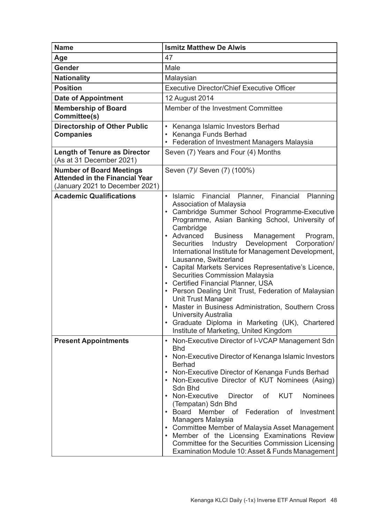| Name                                                                                                        | <b>Ismitz Matthew De Alwis</b>                                                                                                                                                                                                                                                                                                                                                                                                                                                                                                                                                                                                                                                                                                                                                                          |  |
|-------------------------------------------------------------------------------------------------------------|---------------------------------------------------------------------------------------------------------------------------------------------------------------------------------------------------------------------------------------------------------------------------------------------------------------------------------------------------------------------------------------------------------------------------------------------------------------------------------------------------------------------------------------------------------------------------------------------------------------------------------------------------------------------------------------------------------------------------------------------------------------------------------------------------------|--|
| Age                                                                                                         | 47                                                                                                                                                                                                                                                                                                                                                                                                                                                                                                                                                                                                                                                                                                                                                                                                      |  |
| Gender                                                                                                      | Male                                                                                                                                                                                                                                                                                                                                                                                                                                                                                                                                                                                                                                                                                                                                                                                                    |  |
| <b>Nationality</b>                                                                                          | Malaysian                                                                                                                                                                                                                                                                                                                                                                                                                                                                                                                                                                                                                                                                                                                                                                                               |  |
| <b>Position</b>                                                                                             | <b>Executive Director/Chief Executive Officer</b>                                                                                                                                                                                                                                                                                                                                                                                                                                                                                                                                                                                                                                                                                                                                                       |  |
| <b>Date of Appointment</b>                                                                                  | 12 August 2014                                                                                                                                                                                                                                                                                                                                                                                                                                                                                                                                                                                                                                                                                                                                                                                          |  |
| <b>Membership of Board</b><br>Committee(s)                                                                  | Member of the Investment Committee                                                                                                                                                                                                                                                                                                                                                                                                                                                                                                                                                                                                                                                                                                                                                                      |  |
| Directorship of Other Public<br><b>Companies</b>                                                            | • Kenanga Islamic Investors Berhad<br>Kenanga Funds Berhad<br>• Federation of Investment Managers Malaysia                                                                                                                                                                                                                                                                                                                                                                                                                                                                                                                                                                                                                                                                                              |  |
| <b>Length of Tenure as Director</b><br>(As at 31 December 2021)                                             | Seven (7) Years and Four (4) Months                                                                                                                                                                                                                                                                                                                                                                                                                                                                                                                                                                                                                                                                                                                                                                     |  |
| <b>Number of Board Meetings</b><br><b>Attended in the Financial Year</b><br>(January 2021 to December 2021) | Seven (7)/ Seven (7) (100%)                                                                                                                                                                                                                                                                                                                                                                                                                                                                                                                                                                                                                                                                                                                                                                             |  |
| <b>Academic Qualifications</b>                                                                              | Financial<br>Planner,<br>Financial<br>Planning<br>$\cdot$ Islamic<br>Association of Malaysia<br>• Cambridge Summer School Programme-Executive<br>Programme, Asian Banking School, University of<br>Cambridge<br>• Advanced<br><b>Business</b><br>Management<br>Program,<br>Industry Development<br>Securities<br>Corporation/<br>International Institute for Management Development,<br>Lausanne, Switzerland<br>• Capital Markets Services Representative's Licence,<br>Securities Commission Malaysia<br>• Certified Financial Planner, USA<br>• Person Dealing Unit Trust, Federation of Malaysian<br>Unit Trust Manager<br>• Master in Business Administration, Southern Cross<br>University Australia<br>• Graduate Diploma in Marketing (UK), Chartered<br>Institute of Marketing, United Kingdom |  |
| <b>Present Appointments</b>                                                                                 | • Non-Executive Director of I-VCAP Management Sdn<br><b>Bhd</b><br>• Non-Executive Director of Kenanga Islamic Investors<br>Berhad<br>• Non-Executive Director of Kenanga Funds Berhad<br>• Non-Executive Director of KUT Nominees (Asing)<br>Sdn Bhd<br>• Non-Executive<br><b>KUT</b><br>Nominees<br>Director of<br>(Tempatan) Sdn Bhd<br>• Board Member of Federation of Investment<br>Managers Malaysia<br>• Committee Member of Malaysia Asset Management<br>• Member of the Licensing Examinations Review<br>Committee for the Securities Commission Licensing<br>Examination Module 10: Asset & Funds Management                                                                                                                                                                                  |  |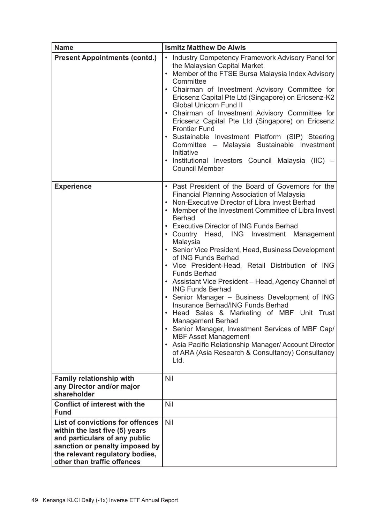| <b>Name</b>                                                                                                                                                                                             | <b>Ismitz Matthew De Alwis</b>                                                                                                                                                                                                                                                                                                                                                                                                                                                                                                                                                                                                                                                                                                                                                                                                                                                                                                      |  |  |
|---------------------------------------------------------------------------------------------------------------------------------------------------------------------------------------------------------|-------------------------------------------------------------------------------------------------------------------------------------------------------------------------------------------------------------------------------------------------------------------------------------------------------------------------------------------------------------------------------------------------------------------------------------------------------------------------------------------------------------------------------------------------------------------------------------------------------------------------------------------------------------------------------------------------------------------------------------------------------------------------------------------------------------------------------------------------------------------------------------------------------------------------------------|--|--|
| <b>Present Appointments (contd.)</b>                                                                                                                                                                    | Industry Competency Framework Advisory Panel for<br>the Malaysian Capital Market<br>Member of the FTSE Bursa Malaysia Index Advisory<br>Committee<br>• Chairman of Investment Advisory Committee for<br>Ericsenz Capital Pte Ltd (Singapore) on Ericsenz-K2<br><b>Global Unicorn Fund II</b><br>• Chairman of Investment Advisory Committee for<br>Ericsenz Capital Pte Ltd (Singapore) on Ericsenz<br><b>Frontier Fund</b><br>• Sustainable Investment Platform (SIP) Steering<br>Committee - Malaysia Sustainable Investment<br>Initiative<br>· Institutional Investors Council Malaysia (IIC) -<br><b>Council Member</b>                                                                                                                                                                                                                                                                                                         |  |  |
| <b>Experience</b>                                                                                                                                                                                       | • Past President of the Board of Governors for the<br>Financial Planning Association of Malaysia<br>• Non-Executive Director of Libra Invest Berhad<br>• Member of the Investment Committee of Libra Invest<br>Berhad<br>• Executive Director of ING Funds Berhad<br>• Country Head, ING Investment Management<br>Malaysia<br>• Senior Vice President, Head, Business Development<br>of ING Funds Berhad<br>• Vice President-Head, Retail Distribution of ING<br>Funds Berhad<br>• Assistant Vice President - Head, Agency Channel of<br><b>ING Funds Berhad</b><br>• Senior Manager - Business Development of ING<br>Insurance Berhad/ING Funds Berhad<br>• Head Sales & Marketing of MBF Unit Trust<br>Management Berhad<br>• Senior Manager, Investment Services of MBF Cap/<br><b>MBF Asset Management</b><br>• Asia Pacific Relationship Manager/ Account Director<br>of ARA (Asia Research & Consultancy) Consultancy<br>Ltd. |  |  |
| Family relationship with<br>any Director and/or major<br>shareholder                                                                                                                                    | Nil                                                                                                                                                                                                                                                                                                                                                                                                                                                                                                                                                                                                                                                                                                                                                                                                                                                                                                                                 |  |  |
| Conflict of interest with the<br>Fund                                                                                                                                                                   | Nil                                                                                                                                                                                                                                                                                                                                                                                                                                                                                                                                                                                                                                                                                                                                                                                                                                                                                                                                 |  |  |
| List of convictions for offences<br>within the last five (5) years<br>and particulars of any public<br>sanction or penalty imposed by<br>the relevant regulatory bodies,<br>other than traffic offences | Nil                                                                                                                                                                                                                                                                                                                                                                                                                                                                                                                                                                                                                                                                                                                                                                                                                                                                                                                                 |  |  |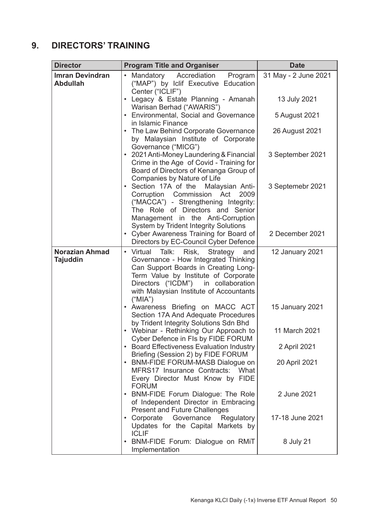# **9. DIRECTORS' TRAINING**

| <b>Director</b>                   | <b>Program Title and Organiser</b>                                                                                                                                                                                                                                     | <b>Date</b>          |
|-----------------------------------|------------------------------------------------------------------------------------------------------------------------------------------------------------------------------------------------------------------------------------------------------------------------|----------------------|
| Imran Devindran<br>Abdullah       | • Mandatory<br>Accrediation<br>Program<br>("MAP") by Iclif Executive Education<br>Center ("ICLIF")                                                                                                                                                                     | 31 May - 2 June 2021 |
|                                   | · Legacy & Estate Planning - Amanah<br>Warisan Berhad ("AWARIS")                                                                                                                                                                                                       | 13 July 2021         |
|                                   | • Environmental, Social and Governance<br>in Islamic Finance                                                                                                                                                                                                           | 5 August 2021        |
|                                   | • The Law Behind Corporate Governance<br>by Malaysian Institute of Corporate<br>Governance ("MICG")                                                                                                                                                                    | 26 August 2021       |
|                                   | • 2021 Anti-Money Laundering & Financial<br>Crime in the Age of Covid - Training for<br>Board of Directors of Kenanga Group of<br>Companies by Nature of Life                                                                                                          | 3 September 2021     |
|                                   | • Section 17A of the<br>Malaysian Anti-<br>Corruption Commission Act<br>2009<br>("MACCA") - Strengthening Integrity:<br>The Role of Directors and Senior<br>Management in the Anti-Corruption<br>System by Trident Integrity Solutions                                 | 3 Septemebr 2021     |
|                                   | • Cyber Awareness Training for Board of<br>Directors by EC-Council Cyber Defence                                                                                                                                                                                       | 2 December 2021      |
| <b>Norazian Ahmad</b><br>Tajuddin | • Virtual<br>Talk:<br>Risk.<br>Strategy<br>and<br>Governance - How Integrated Thinking<br>Can Support Boards in Creating Long-<br>Term Value by Institute of Corporate<br>Directors ("ICDM")<br>in collaboration<br>with Malaysian Institute of Accountants<br>("MIA") | 12 January 2021      |
|                                   | · Awareness Briefing on MACC ACT<br>Section 17A And Adequate Procedures<br>by Trident Integrity Solutions Sdn Bhd                                                                                                                                                      | 15 January 2021      |
|                                   | • Webinar - Rethinking Our Approach to<br>Cyber Defence in FIs by FIDE FORUM                                                                                                                                                                                           | 11 March 2021        |
|                                   | • Board Effectiveness Evaluation Industry<br>Briefing (Session 2) by FIDE FORUM                                                                                                                                                                                        | 2 April 2021         |
|                                   | • BNM-FIDE FORUM-MASB Dialogue on<br>MFRS17 Insurance Contracts: What<br>Every Director Must Know by FIDE<br><b>FORUM</b>                                                                                                                                              | 20 April 2021        |
|                                   | • BNM-FIDE Forum Dialogue: The Role<br>of Independent Director in Embracing<br><b>Present and Future Challenges</b>                                                                                                                                                    | 2 June 2021          |
|                                   | • Corporate Governance<br>Regulatory<br>Updates for the Capital Markets by<br><b>ICLIF</b>                                                                                                                                                                             | 17-18 June 2021      |
|                                   | • BNM-FIDE Forum: Dialogue on RMIT<br>Implementation                                                                                                                                                                                                                   | 8 July 21            |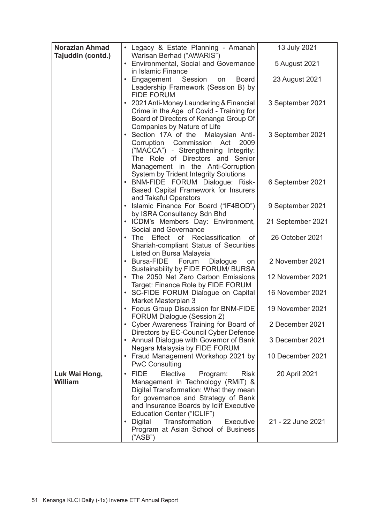| <b>Norazian Ahmad</b>    | · Legacy & Estate Planning - Amanah                                                                                                                                                                                                            | 13 July 2021      |
|--------------------------|------------------------------------------------------------------------------------------------------------------------------------------------------------------------------------------------------------------------------------------------|-------------------|
| Tajuddin (contd.)        | Warisan Berhad ("AWARIS")<br>• Environmental, Social and Governance                                                                                                                                                                            | 5 August 2021     |
|                          | in Islamic Finance                                                                                                                                                                                                                             |                   |
|                          | • Engagement<br>Session<br>Board<br>on<br>Leadership Framework (Session B) by<br><b>FIDE FORUM</b>                                                                                                                                             | 23 August 2021    |
|                          | • 2021 Anti-Money Laundering & Financial<br>Crime in the Age of Covid - Training for<br>Board of Directors of Kenanga Group Of<br>Companies by Nature of Life                                                                                  | 3 September 2021  |
|                          | • Section 17A of the<br>Malaysian Anti-<br>Corruption Commission Act<br>2009<br>("MACCA") - Strengthening Integrity:<br>The Role of Directors and Senior<br>Management in the Anti-Corruption                                                  | 3 September 2021  |
|                          | System by Trident Integrity Solutions<br>· BNM-FIDE FORUM Dialogue: Risk-<br>Based Capital Framework for Insurers<br>and Takaful Operators                                                                                                     | 6 September 2021  |
|                          | • Islamic Finance For Board ("IF4BOD")<br>by ISRA Consultancy Sdn Bhd                                                                                                                                                                          | 9 September 2021  |
|                          | • ICDM's Members Day: Environment,<br>Social and Governance                                                                                                                                                                                    | 21 September 2021 |
|                          | • The Effect of Reclassification<br>of<br>Shariah-compliant Status of Securities<br>Listed on Bursa Malaysia                                                                                                                                   | 26 October 2021   |
|                          | • Bursa-FIDE<br>Forum<br>Dialogue<br>on<br>Sustainability by FIDE FORUM/ BURSA                                                                                                                                                                 | 2 November 2021   |
|                          | • The 2050 Net Zero Carbon Emissions<br>Target: Finance Role by FIDE FORUM                                                                                                                                                                     | 12 November 2021  |
|                          | · SC-FIDE FORUM Dialogue on Capital<br>Market Masterplan 3                                                                                                                                                                                     | 16 November 2021  |
|                          | • Focus Group Discussion for BNM-FIDE<br>FORUM Dialogue (Session 2)                                                                                                                                                                            | 19 November 2021  |
|                          | • Cyber Awareness Training for Board of<br>Directors by EC-Council Cyber Defence                                                                                                                                                               | 2 December 2021   |
|                          | • Annual Dialogue with Governor of Bank<br>Negara Malaysia by FIDE FORUM                                                                                                                                                                       | 3 December 2021   |
|                          | • Fraud Management Workshop 2021 by<br><b>PwC Consulting</b>                                                                                                                                                                                   | 10 December 2021  |
| Luk Wai Hong,<br>William | $·$ FIDE<br>Elective<br><b>Risk</b><br>Program:<br>Management in Technology (RMiT) &<br>Digital Transformation: What they mean<br>for governance and Strategy of Bank<br>and Insurance Boards by Iclif Executive<br>Education Center ("ICLIF") | 20 April 2021     |
|                          | Transformation<br>• Digital<br>Executive<br>Program at Asian School of Business<br>("ASB")                                                                                                                                                     | 21 - 22 June 2021 |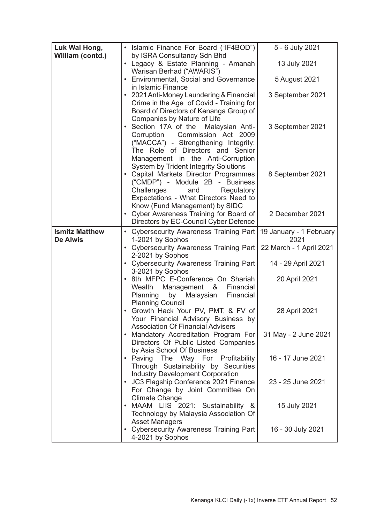| Luk Wai Hong,<br>William (contd.) | • Islamic Finance For Board ("IF4BOD")<br>by ISRA Consultancy Sdn Bhd                                                                                                                                                              | 5 - 6 July 2021                 |
|-----------------------------------|------------------------------------------------------------------------------------------------------------------------------------------------------------------------------------------------------------------------------------|---------------------------------|
|                                   | • Legacy & Estate Planning - Amanah<br>Warisan Berhad ("AWARIS")                                                                                                                                                                   | 13 July 2021                    |
|                                   | • Environmental, Social and Governance                                                                                                                                                                                             | 5 August 2021                   |
|                                   | in Islamic Finance<br>• 2021 Anti-Money Laundering & Financial<br>Crime in the Age of Covid - Training for<br>Board of Directors of Kenanga Group of                                                                               | 3 September 2021                |
|                                   | Companies by Nature of Life<br>• Section 17A of the<br>Malaysian Anti-<br>Corruption Commission Act 2009<br>("MACCA") - Strengthening Integrity:<br>The Role of Directors and Senior                                               | 3 September 2021                |
|                                   | Management in the Anti-Corruption<br>System by Trident Integrity Solutions<br>• Capital Markets Director Programmes<br>("CMDP") - Module 2B - Business<br>Challenges<br>and<br>Regulatory<br>Expectations - What Directors Need to | 8 September 2021                |
|                                   | Know (Fund Management) by SIDC<br>• Cyber Awareness Training for Board of<br>Directors by EC-Council Cyber Defence                                                                                                                 | 2 December 2021                 |
| <b>Ismitz Matthew</b><br>De Alwis | • Cybersecurity Awareness Training Part<br>1-2021 by Sophos                                                                                                                                                                        | 19 January - 1 February<br>2021 |
|                                   | • Cybersecurity Awareness Training Part                                                                                                                                                                                            | 22 March - 1 April 2021         |
|                                   | 2-2021 by Sophos<br>• Cybersecurity Awareness Training Part                                                                                                                                                                        | 14 - 29 April 2021              |
|                                   | 3-2021 by Sophos<br>• 8th MFPC E-Conference On Shariah<br>Wealth Management &<br>Financial<br>Planning<br>by<br>Malaysian<br>Financial<br><b>Planning Council</b>                                                                  | 20 April 2021                   |
|                                   | · Growth Hack Your PV, PMT, & FV of<br>Your Financial Advisory Business by<br><b>Association Of Financial Advisers</b>                                                                                                             | 28 April 2021                   |
|                                   | • Mandatory Accreditation Program For<br>Directors Of Public Listed Companies<br>by Asia School Of Business                                                                                                                        | 31 May - 2 June 2021            |
|                                   | . Paving The Way For Profitability<br>Through Sustainability by Securities<br>Industry Development Corporation                                                                                                                     | 16 - 17 June 2021               |
|                                   | • JC3 Flagship Conference 2021 Finance<br>For Change by Joint Committee On                                                                                                                                                         | 23 - 25 June 2021               |
|                                   | Climate Change<br>• MAAM LIIS 2021: Sustainability &<br>Technology by Malaysia Association Of                                                                                                                                      | 15 July 2021                    |
|                                   | <b>Asset Managers</b><br>• Cybersecurity Awareness Training Part<br>4-2021 by Sophos                                                                                                                                               | 16 - 30 July 2021               |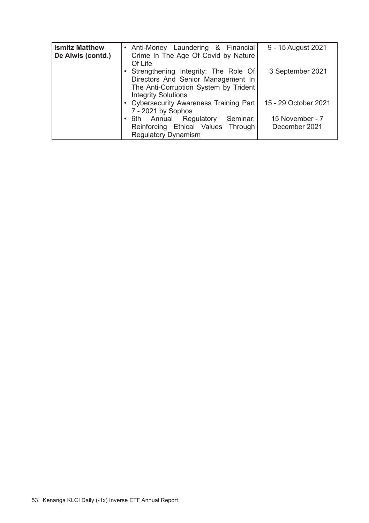| <b>Ismitz Matthew</b><br>De Alwis (contd.) | • Anti-Money Laundering & Financial<br>Crime In The Age Of Covid by Nature<br>Of Life                                                               | 9 - 15 August 2021               |
|--------------------------------------------|-----------------------------------------------------------------------------------------------------------------------------------------------------|----------------------------------|
|                                            | • Strengthening Integrity: The Role Of<br>Directors And Senior Management In<br>The Anti-Corruption System by Trident<br><b>Integrity Solutions</b> | 3 September 2021                 |
|                                            | • Cybersecurity Awareness Training Part<br>7 - 2021 by Sophos                                                                                       | 15 - 29 October 2021             |
|                                            | 6th Annual Regulatory<br>Seminar:<br>Reinforcing Ethical Values Through<br><b>Regulatory Dynamism</b>                                               | 15 November - 7<br>December 2021 |